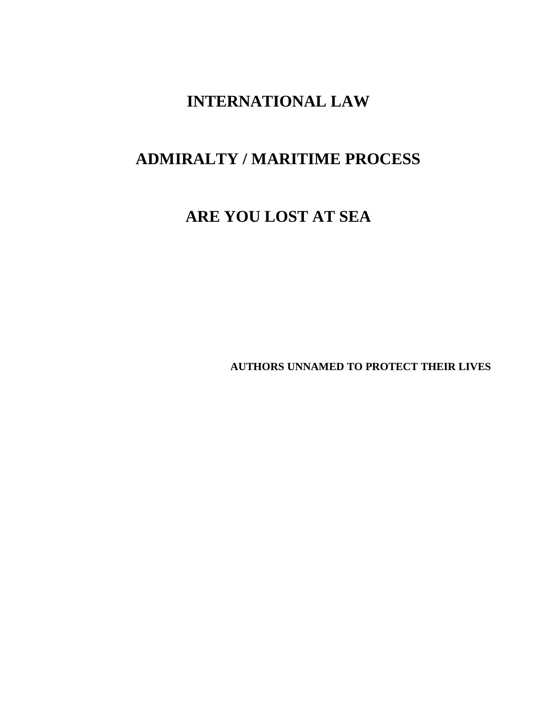# **INTERNATIONAL LAW**

# **ADMIRALTY / MARITIME PROCESS**

# **ARE YOU LOST AT SEA**

**AUTHORS UNNAMED TO PROTECT THEIR LIVES**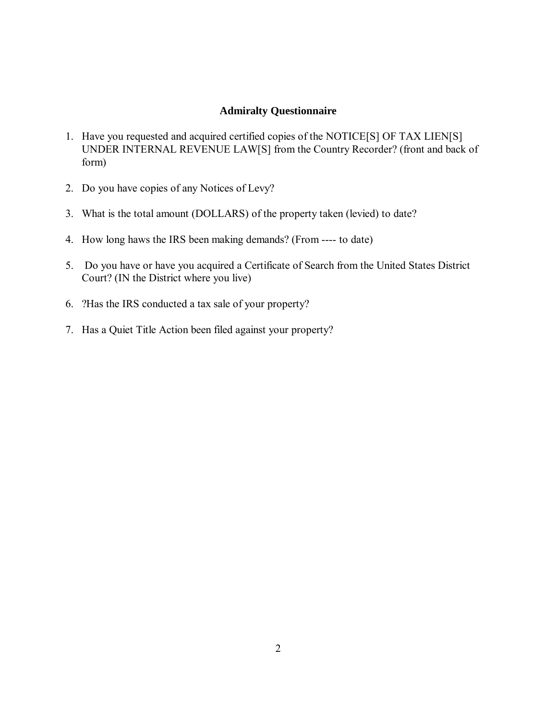# **Admiralty Questionnaire**

- 1. Have you requested and acquired certified copies of the NOTICE[S] OF TAX LIEN[S] UNDER INTERNAL REVENUE LAW[S] from the Country Recorder? (front and back of form)
- 2. Do you have copies of any Notices of Levy?
- 3. What is the total amount (DOLLARS) of the property taken (levied) to date?
- 4. How long haws the IRS been making demands? (From ---- to date)
- 5. Do you have or have you acquired a Certificate of Search from the United States District Court? (IN the District where you live)
- 6. ?Has the IRS conducted a tax sale of your property?
- 7. Has a Quiet Title Action been filed against your property?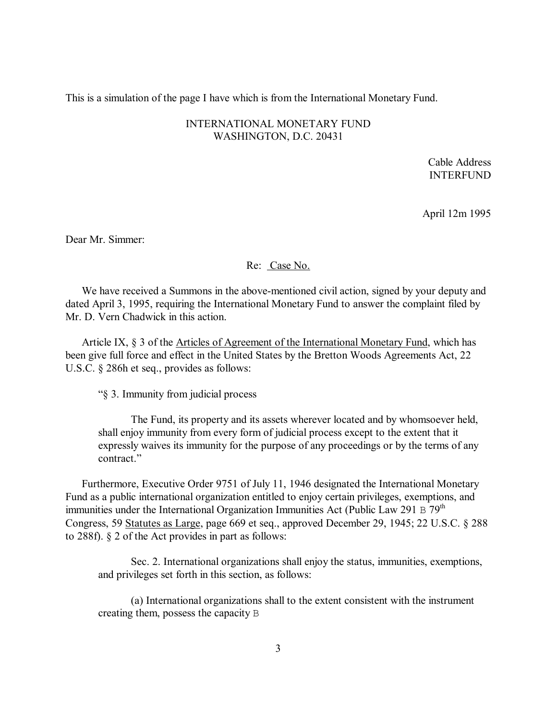This is a simulation of the page I have which is from the International Monetary Fund.

# INTERNATIONAL MONETARY FUND WASHINGTON, D.C. 20431

Cable Address INTERFUND

April 12m 1995

Dear Mr. Simmer:

### Re: Case No.

We have received a Summons in the above-mentioned civil action, signed by your deputy and dated April 3, 1995, requiring the International Monetary Fund to answer the complaint filed by Mr. D. Vern Chadwick in this action.

Article IX, § 3 of the Articles of Agreement of the International Monetary Fund, which has been give full force and effect in the United States by the Bretton Woods Agreements Act, 22 U.S.C. § 286h et seq., provides as follows:

"§ 3. Immunity from judicial process

The Fund, its property and its assets wherever located and by whomsoever held, shall enjoy immunity from every form of judicial process except to the extent that it expressly waives its immunity for the purpose of any proceedings or by the terms of any contract."

Furthermore, Executive Order 9751 of July 11, 1946 designated the International Monetary Fund as a public international organization entitled to enjoy certain privileges, exemptions, and immunities under the International Organization Immunities Act (Public Law 291 B  $79<sup>th</sup>$ Congress, 59 Statutes as Large, page 669 et seq., approved December 29, 1945; 22 U.S.C. § 288 to 288f). § 2 of the Act provides in part as follows:

Sec. 2. International organizations shall enjoy the status, immunities, exemptions, and privileges set forth in this section, as follows:

(a) International organizations shall to the extent consistent with the instrument creating them, possess the capacity B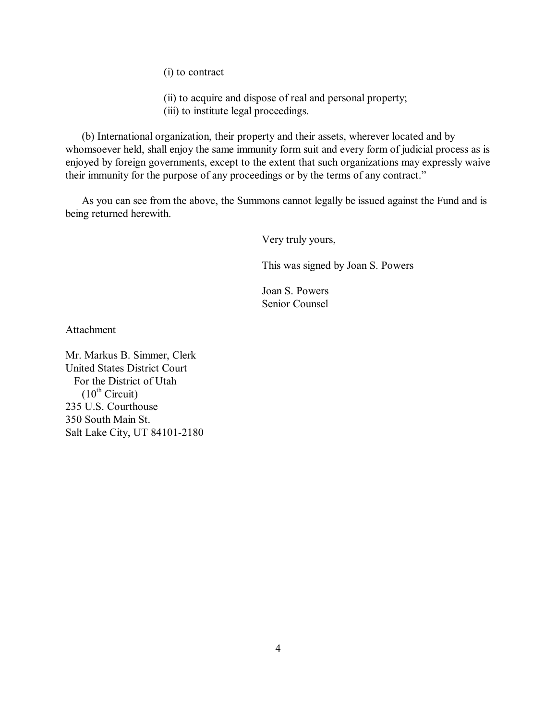(i) to contract

- (ii) to acquire and dispose of real and personal property;
- (iii) to institute legal proceedings.

(b) International organization, their property and their assets, wherever located and by whomsoever held, shall enjoy the same immunity form suit and every form of judicial process as is enjoyed by foreign governments, except to the extent that such organizations may expressly waive their immunity for the purpose of any proceedings or by the terms of any contract."

As you can see from the above, the Summons cannot legally be issued against the Fund and is being returned herewith.

Very truly yours,

This was signed by Joan S. Powers

Joan S. Powers Senior Counsel

Attachment

Mr. Markus B. Simmer, Clerk United States District Court For the District of Utah  $(10^{th}$  Circuit) 235 U.S. Courthouse 350 South Main St. Salt Lake City, UT 84101-2180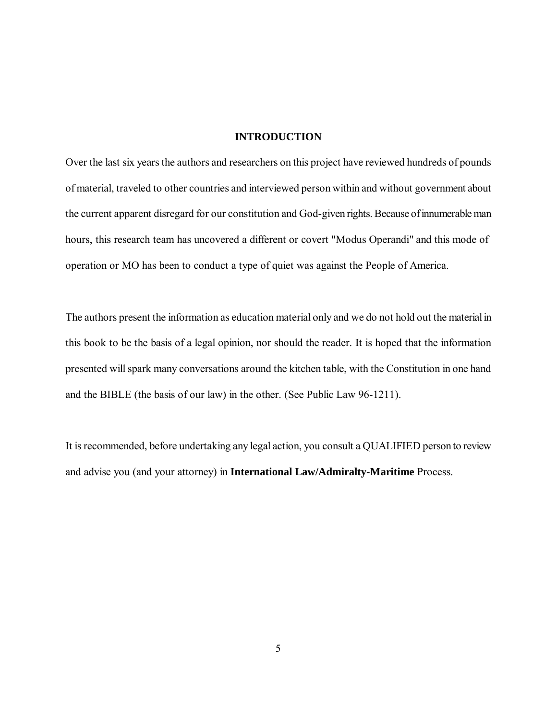# **INTRODUCTION**

Over the last six years the authors and researchers on this project have reviewed hundreds of pounds of material, traveled to other countries and interviewed person within and without government about the current apparent disregard for our constitution and God-given rights. Because of innumerable man hours, this research team has uncovered a different or covert "Modus Operandi" and this mode of operation or MO has been to conduct a type of quiet was against the People of America.

The authors present the information as education material only and we do not hold out the material in this book to be the basis of a legal opinion, nor should the reader. It is hoped that the information presented will spark many conversations around the kitchen table, with the Constitution in one hand and the BIBLE (the basis of our law) in the other. (See Public Law 96-1211).

It is recommended, before undertaking any legal action, you consult a QUALIFIED person to review and advise you (and your attorney) in **International Law/Admiralty-Maritime** Process.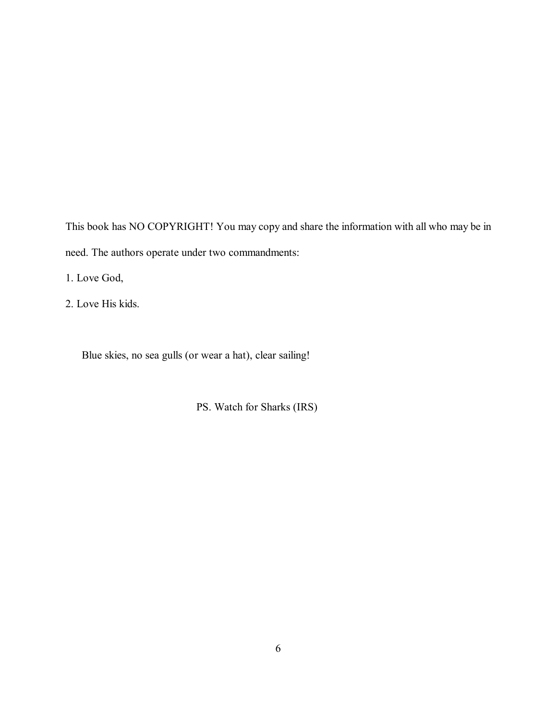This book has NO COPYRIGHT! You may copy and share the information with all who may be in need. The authors operate under two commandments:

1. Love God,

2. Love His kids.

Blue skies, no sea gulls (or wear a hat), clear sailing!

PS. Watch for Sharks (IRS)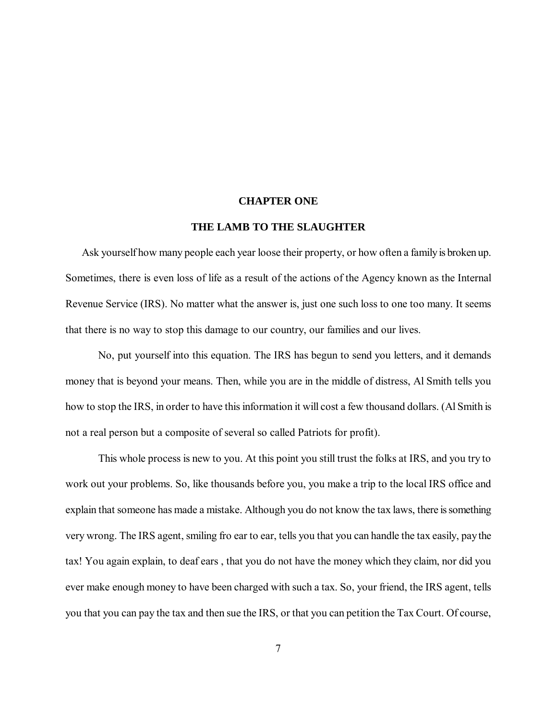#### **CHAPTER ONE**

# **THE LAMB TO THE SLAUGHTER**

Ask yourself how many people each year loose their property, or how often a family is broken up. Sometimes, there is even loss of life as a result of the actions of the Agency known as the Internal Revenue Service (IRS). No matter what the answer is, just one such loss to one too many. It seems that there is no way to stop this damage to our country, our families and our lives.

No, put yourself into this equation. The IRS has begun to send you letters, and it demands money that is beyond your means. Then, while you are in the middle of distress, Al Smith tells you how to stop the IRS, in order to have this information it will cost a few thousand dollars. (Al Smith is not a real person but a composite of several so called Patriots for profit).

This whole process is new to you. At this point you still trust the folks at IRS, and you try to work out your problems. So, like thousands before you, you make a trip to the local IRS office and explain that someone has made a mistake. Although you do not know the tax laws, there is something very wrong. The IRS agent, smiling fro ear to ear, tells you that you can handle the tax easily, pay the tax! You again explain, to deaf ears , that you do not have the money which they claim, nor did you ever make enough money to have been charged with such a tax. So, your friend, the IRS agent, tells you that you can pay the tax and then sue the IRS, or that you can petition the Tax Court. Of course,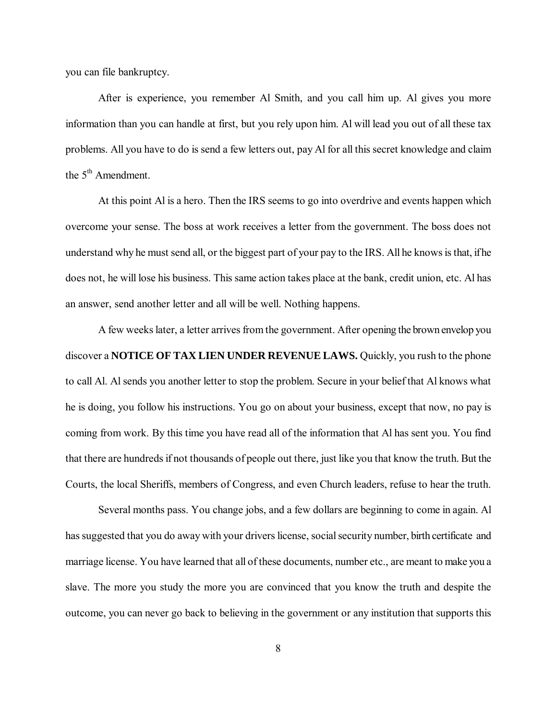you can file bankruptcy.

After is experience, you remember Al Smith, and you call him up. Al gives you more information than you can handle at first, but you rely upon him. Al will lead you out of all these tax problems. All you have to do is send a few letters out, pay Al for all this secret knowledge and claim the  $5<sup>th</sup>$  Amendment.

At this point Al is a hero. Then the IRS seems to go into overdrive and events happen which overcome your sense. The boss at work receives a letter from the government. The boss does not understand why he must send all, or the biggest part of your pay to the IRS. All he knows is that, if he does not, he will lose his business. This same action takes place at the bank, credit union, etc. Al has an answer, send another letter and all will be well. Nothing happens.

A few weeks later, a letter arrives from the government. After opening the brown envelop you discover a **NOTICE OF TAX LIEN UNDER REVENUE LAWS.** Quickly, you rush to the phone to call Al. Al sends you another letter to stop the problem. Secure in your belief that Al knows what he is doing, you follow his instructions. You go on about your business, except that now, no pay is coming from work. By this time you have read all of the information that Al has sent you. You find that there are hundreds if not thousands of people out there, just like you that know the truth. But the Courts, the local Sheriffs, members of Congress, and even Church leaders, refuse to hear the truth.

Several months pass. You change jobs, and a few dollars are beginning to come in again. Al has suggested that you do away with your drivers license, social security number, birth certificate and marriage license. You have learned that all of these documents, number etc., are meant to make you a slave. The more you study the more you are convinced that you know the truth and despite the outcome, you can never go back to believing in the government or any institution that supports this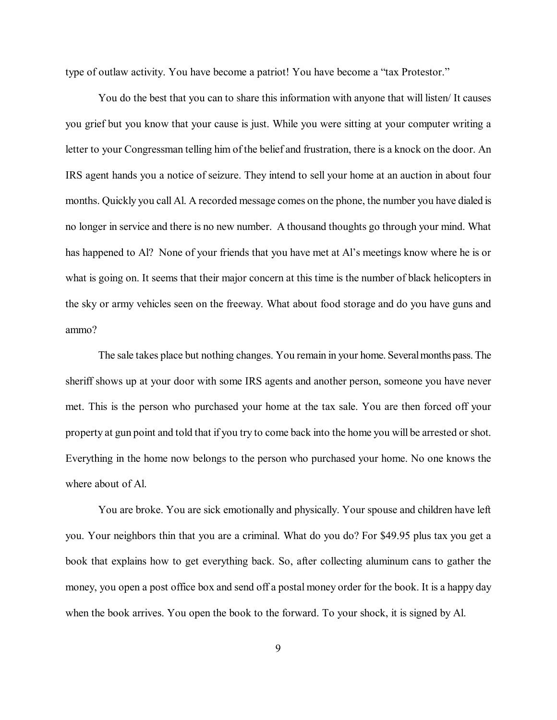type of outlaw activity. You have become a patriot! You have become a "tax Protestor."

You do the best that you can to share this information with anyone that will listen/ It causes you grief but you know that your cause is just. While you were sitting at your computer writing a letter to your Congressman telling him of the belief and frustration, there is a knock on the door. An IRS agent hands you a notice of seizure. They intend to sell your home at an auction in about four months. Quickly you call Al. A recorded message comes on the phone, the number you have dialed is no longer in service and there is no new number. A thousand thoughts go through your mind. What has happened to Al? None of your friends that you have met at Al's meetings know where he is or what is going on. It seems that their major concern at this time is the number of black helicopters in the sky or army vehicles seen on the freeway. What about food storage and do you have guns and ammo?

The sale takes place but nothing changes. You remain in your home. Several months pass. The sheriff shows up at your door with some IRS agents and another person, someone you have never met. This is the person who purchased your home at the tax sale. You are then forced off your property at gun point and told that if you try to come back into the home you will be arrested or shot. Everything in the home now belongs to the person who purchased your home. No one knows the where about of Al.

You are broke. You are sick emotionally and physically. Your spouse and children have left you. Your neighbors thin that you are a criminal. What do you do? For \$49.95 plus tax you get a book that explains how to get everything back. So, after collecting aluminum cans to gather the money, you open a post office box and send off a postal money order for the book. It is a happy day when the book arrives. You open the book to the forward. To your shock, it is signed by Al.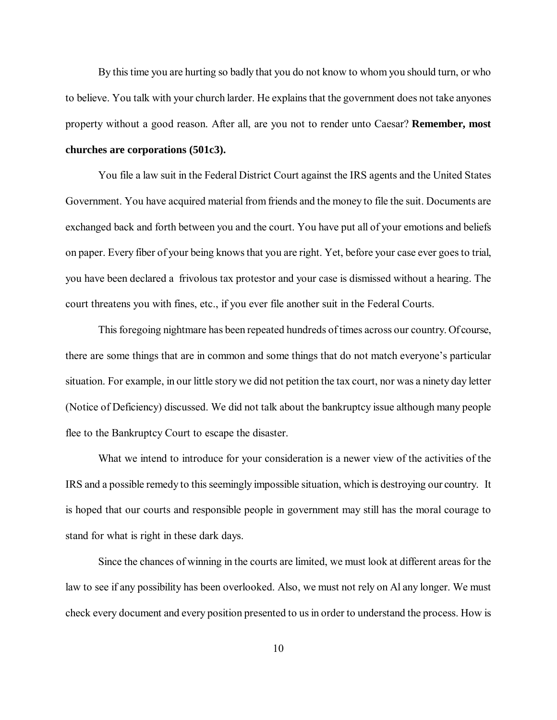By this time you are hurting so badly that you do not know to whom you should turn, or who to believe. You talk with your church larder. He explains that the government does not take anyones property without a good reason. After all, are you not to render unto Caesar? **Remember, most churches are corporations (501c3).**

You file a law suit in the Federal District Court against the IRS agents and the United States Government. You have acquired material from friends and the money to file the suit. Documents are exchanged back and forth between you and the court. You have put all of your emotions and beliefs on paper. Every fiber of your being knows that you are right. Yet, before your case ever goes to trial, you have been declared a frivolous tax protestor and your case is dismissed without a hearing. The court threatens you with fines, etc., if you ever file another suit in the Federal Courts.

This foregoing nightmare has been repeated hundreds of times across our country. Of course, there are some things that are in common and some things that do not match everyone's particular situation. For example, in our little story we did not petition the tax court, nor was a ninety day letter (Notice of Deficiency) discussed. We did not talk about the bankruptcy issue although many people flee to the Bankruptcy Court to escape the disaster.

What we intend to introduce for your consideration is a newer view of the activities of the IRS and a possible remedy to this seemingly impossible situation, which is destroying our country. It is hoped that our courts and responsible people in government may still has the moral courage to stand for what is right in these dark days.

Since the chances of winning in the courts are limited, we must look at different areas for the law to see if any possibility has been overlooked. Also, we must not rely on Al any longer. We must check every document and every position presented to us in order to understand the process. How is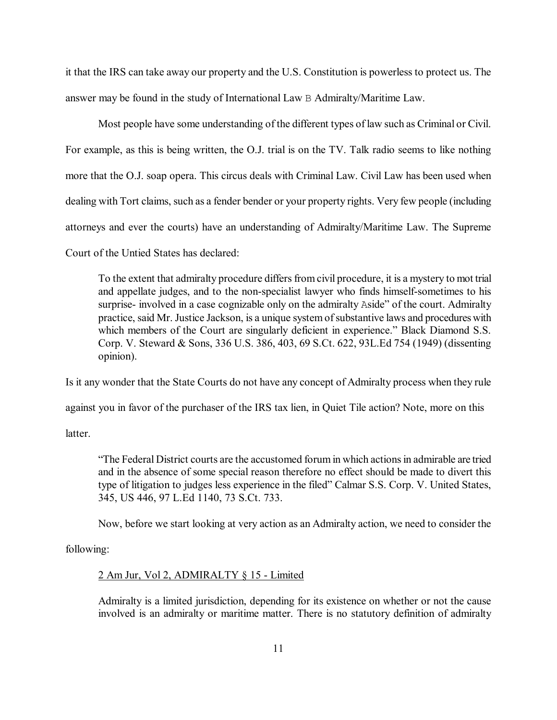it that the IRS can take away our property and the U.S. Constitution is powerless to protect us. The answer may be found in the study of International Law B Admiralty/Maritime Law.

Most people have some understanding of the different types of law such as Criminal or Civil. For example, as this is being written, the O.J. trial is on the TV. Talk radio seems to like nothing more that the O.J. soap opera. This circus deals with Criminal Law. Civil Law has been used when dealing with Tort claims, such as a fender bender or your property rights. Very few people (including attorneys and ever the courts) have an understanding of Admiralty/Maritime Law. The Supreme Court of the Untied States has declared:

To the extent that admiralty procedure differs from civil procedure, it is a mystery to mot trial and appellate judges, and to the non-specialist lawyer who finds himself-sometimes to his surprise- involved in a case cognizable only on the admiralty Aside" of the court. Admiralty practice, said Mr. Justice Jackson, is a unique system of substantive laws and procedures with which members of the Court are singularly deficient in experience." Black Diamond S.S. Corp. V. Steward & Sons, 336 U.S. 386, 403, 69 S.Ct. 622, 93L.Ed 754 (1949) (dissenting opinion).

Is it any wonder that the State Courts do not have any concept of Admiralty process when they rule

against you in favor of the purchaser of the IRS tax lien, in Quiet Tile action? Note, more on this

latter.

"The Federal District courts are the accustomed forum in which actions in admirable are tried and in the absence of some special reason therefore no effect should be made to divert this type of litigation to judges less experience in the filed" Calmar S.S. Corp. V. United States, 345, US 446, 97 L.Ed 1140, 73 S.Ct. 733.

Now, before we start looking at very action as an Admiralty action, we need to consider the

following:

#### 2 Am Jur, Vol 2, ADMIRALTY § 15 - Limited

Admiralty is a limited jurisdiction, depending for its existence on whether or not the cause involved is an admiralty or maritime matter. There is no statutory definition of admiralty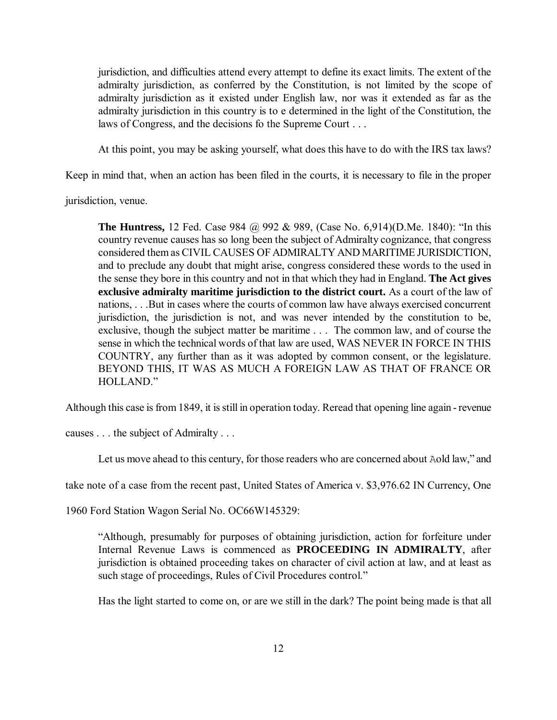jurisdiction, and difficulties attend every attempt to define its exact limits. The extent of the admiralty jurisdiction, as conferred by the Constitution, is not limited by the scope of admiralty jurisdiction as it existed under English law, nor was it extended as far as the admiralty jurisdiction in this country is to e determined in the light of the Constitution, the laws of Congress, and the decisions fo the Supreme Court . . .

At this point, you may be asking yourself, what does this have to do with the IRS tax laws?

Keep in mind that, when an action has been filed in the courts, it is necessary to file in the proper

jurisdiction, venue.

**The Huntress,** 12 Fed. Case 984 @ 992 & 989, (Case No. 6,914)(D.Me. 1840): "In this country revenue causes has so long been the subject of Admiralty cognizance, that congress considered them as CIVIL CAUSES OF ADMIRALTY AND MARITIME JURISDICTION, and to preclude any doubt that might arise, congress considered these words to the used in the sense they bore in this country and not in that which they had in England. **The Act gives exclusive admiralty maritime jurisdiction to the district court.** As a court of the law of nations, . . .But in cases where the courts of common law have always exercised concurrent jurisdiction, the jurisdiction is not, and was never intended by the constitution to be, exclusive, though the subject matter be maritime . . . The common law, and of course the sense in which the technical words of that law are used, WAS NEVER IN FORCE IN THIS COUNTRY, any further than as it was adopted by common consent, or the legislature. BEYOND THIS, IT WAS AS MUCH A FOREIGN LAW AS THAT OF FRANCE OR HOLLAND<sup>"</sup>

Although this case is from 1849, it is still in operation today. Reread that opening line again - revenue

causes . . . the subject of Admiralty . . .

Let us move ahead to this century, for those readers who are concerned about Aold law," and

take note of a case from the recent past, United States of America v. \$3,976.62 IN Currency, One

1960 Ford Station Wagon Serial No. OC66W145329:

"Although, presumably for purposes of obtaining jurisdiction, action for forfeiture under Internal Revenue Laws is commenced as **PROCEEDING IN ADMIRALTY**, after jurisdiction is obtained proceeding takes on character of civil action at law, and at least as such stage of proceedings, Rules of Civil Procedures control."

Has the light started to come on, or are we still in the dark? The point being made is that all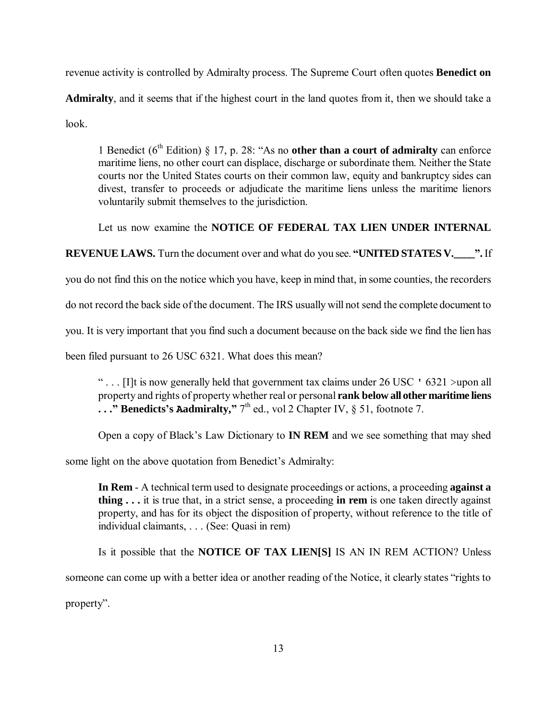revenue activity is controlled by Admiralty process. The Supreme Court often quotes **Benedict on Admiralty**, and it seems that if the highest court in the land quotes from it, then we should take a look.

1 Benedict ( $6<sup>th</sup>$  Edition) § 17, p. 28: "As no **other than a court of admiralty** can enforce maritime liens, no other court can displace, discharge or subordinate them. Neither the State courts nor the United States courts on their common law, equity and bankruptcy sides can divest, transfer to proceeds or adjudicate the maritime liens unless the maritime lienors voluntarily submit themselves to the jurisdiction.

Let us now examine the **NOTICE OF FEDERAL TAX LIEN UNDER INTERNAL** 

**REVENUE LAWS.** Turn the document over and what do you see. **"UNITED STATES V.\_\_\_\_".** If

you do not find this on the notice which you have, keep in mind that, in some counties, the recorders

do not record the back side of the document. The IRS usually will not send the complete document to

you. It is very important that you find such a document because on the back side we find the lien has

been filed pursuant to 26 USC 6321. What does this mean?

"... If it is now generally held that government tax claims under 26 USC  $\cdot$  6321 >upon all property and rights of property whether real or personal **rank below all other maritime liens**   $\ldots$  **" Benedicts's Aadmiralty,**  $7^{\text{th}}$  ed., vol 2 Chapter IV, § 51, footnote 7.

Open a copy of Black's Law Dictionary to **IN REM** and we see something that may shed

some light on the above quotation from Benedict's Admiralty:

**In Rem** - A technical term used to designate proceedings or actions, a proceeding **against a thing . . .** it is true that, in a strict sense, a proceeding **in rem** is one taken directly against property, and has for its object the disposition of property, without reference to the title of individual claimants, . . . (See: Quasi in rem)

Is it possible that the **NOTICE OF TAX LIEN[S]** IS AN IN REM ACTION? Unless someone can come up with a better idea or another reading of the Notice, it clearly states "rights to

property".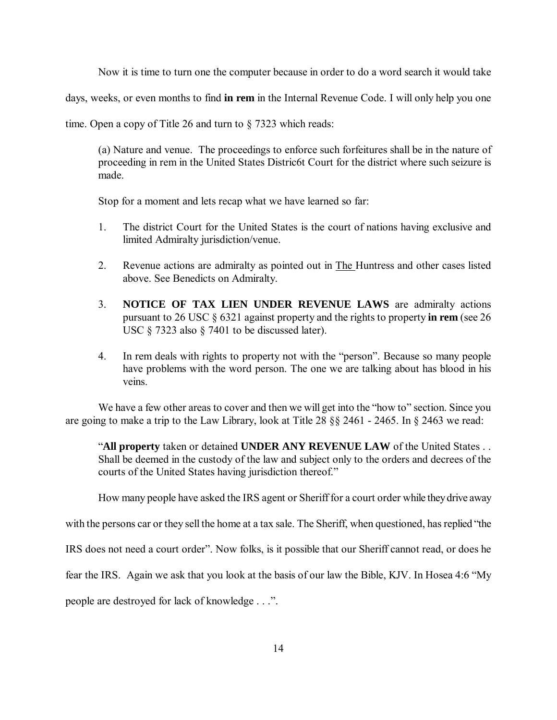Now it is time to turn one the computer because in order to do a word search it would take

days, weeks, or even months to find **in rem** in the Internal Revenue Code. I will only help you one

time. Open a copy of Title 26 and turn to § 7323 which reads:

(a) Nature and venue. The proceedings to enforce such forfeitures shall be in the nature of proceeding in rem in the United States Distric6t Court for the district where such seizure is made.

Stop for a moment and lets recap what we have learned so far:

- 1. The district Court for the United States is the court of nations having exclusive and limited Admiralty jurisdiction/venue.
- 2. Revenue actions are admiralty as pointed out in The Huntress and other cases listed above. See Benedicts on Admiralty.
- 3. **NOTICE OF TAX LIEN UNDER REVENUE LAWS** are admiralty actions pursuant to 26 USC § 6321 against property and the rights to property **in rem** (see 26 USC § 7323 also § 7401 to be discussed later).
- 4. In rem deals with rights to property not with the "person". Because so many people have problems with the word person. The one we are talking about has blood in his veins.

We have a few other areas to cover and then we will get into the "how to" section. Since you are going to make a trip to the Law Library, look at Title 28 §§ 2461 - 2465. In § 2463 we read:

"**All property** taken or detained **UNDER ANY REVENUE LAW** of the United States . . Shall be deemed in the custody of the law and subject only to the orders and decrees of the courts of the United States having jurisdiction thereof."

How many people have asked the IRS agent or Sheriff for a court order while they drive away

with the persons car or they sell the home at a tax sale. The Sheriff, when questioned, has replied "the

IRS does not need a court order". Now folks, is it possible that our Sheriff cannot read, or does he

fear the IRS. Again we ask that you look at the basis of our law the Bible, KJV. In Hosea 4:6 "My

people are destroyed for lack of knowledge . . .".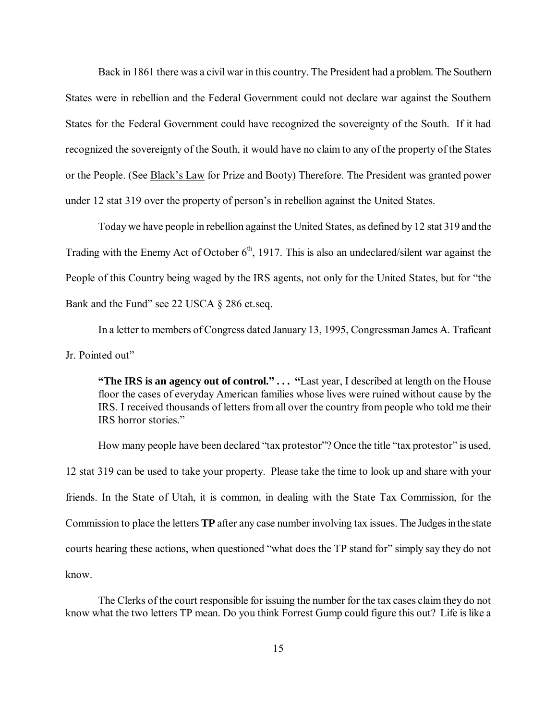Back in 1861 there was a civil war in this country. The President had a problem. The Southern States were in rebellion and the Federal Government could not declare war against the Southern States for the Federal Government could have recognized the sovereignty of the South. If it had recognized the sovereignty of the South, it would have no claim to any of the property of the States or the People. (See **Black's Law** for Prize and Booty) Therefore. The President was granted power under 12 stat 319 over the property of person's in rebellion against the United States.

Today we have people in rebellion against the United States, as defined by 12 stat 319 and the Trading with the Enemy Act of October  $6<sup>th</sup>$ , 1917. This is also an undeclared/silent war against the People of this Country being waged by the IRS agents, not only for the United States, but for "the Bank and the Fund" see 22 USCA § 286 et.seq.

In a letter to members of Congress dated January 13, 1995, Congressman James A. Traficant Jr. Pointed out"

**"The IRS is an agency out of control." . . . "**Last year, I described at length on the House floor the cases of everyday American families whose lives were ruined without cause by the IRS. I received thousands of letters from all over the country from people who told me their IRS horror stories."

How many people have been declared "tax protestor"? Once the title "tax protestor" is used, 12 stat 319 can be used to take your property. Please take the time to look up and share with your friends. In the State of Utah, it is common, in dealing with the State Tax Commission, for the Commission to place the letters **TP** after any case number involving tax issues. The Judges in the state courts hearing these actions, when questioned "what does the TP stand for" simply say they do not know.

The Clerks of the court responsible for issuing the number for the tax cases claim they do not know what the two letters TP mean. Do you think Forrest Gump could figure this out? Life is like a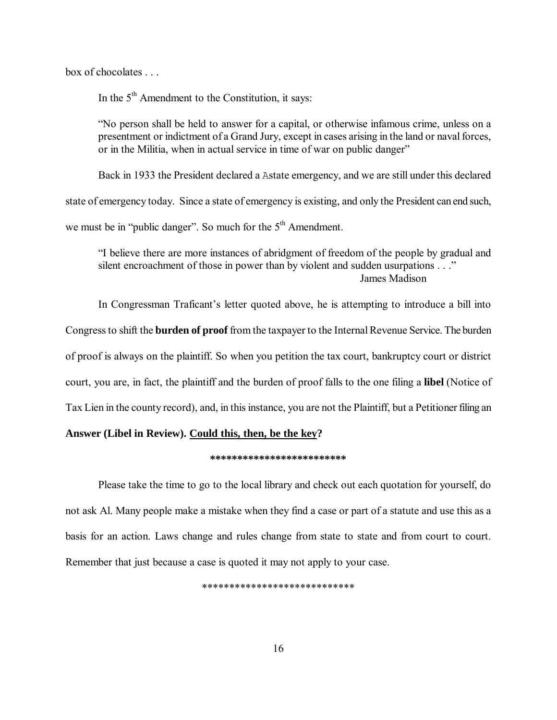box of chocolates

In the  $5<sup>th</sup>$  Amendment to the Constitution, it says:

"No person shall be held to answer for a capital, or otherwise infamous crime, unless on a presentment or indictment of a Grand Jury, except in cases arising in the land or naval forces, or in the Militia, when in actual service in time of war on public danger"

Back in 1933 the President declared a Astate emergency, and we are still under this declared

state of emergency today. Since a state of emergency is existing, and only the President can end such,

we must be in "public danger". So much for the  $5<sup>th</sup>$  Amendment.

"I believe there are more instances of abridgment of freedom of the people by gradual and silent encroachment of those in power than by violent and sudden usurpations . . ." James Madison

In Congressman Traficant's letter quoted above, he is attempting to introduce a bill into Congress to shift the **burden of proof** from the taxpayer to the Internal Revenue Service. The burden of proof is always on the plaintiff. So when you petition the tax court, bankruptcy court or district court, you are, in fact, the plaintiff and the burden of proof falls to the one filing a **libel** (Notice of Tax Lien in the county record), and, in this instance, you are not the Plaintiff, but a Petitioner filing an

# **Answer (Libel in Review). Could this, then, be the key?**

#### **\*\*\*\*\*\*\*\*\*\*\*\*\*\*\*\*\*\*\*\*\*\*\*\*\***

Please take the time to go to the local library and check out each quotation for yourself, do not ask Al. Many people make a mistake when they find a case or part of a statute and use this as a basis for an action. Laws change and rules change from state to state and from court to court. Remember that just because a case is quoted it may not apply to your case.

\*\*\*\*\*\*\*\*\*\*\*\*\*\*\*\*\*\*\*\*\*\*\*\*\*\*\*\*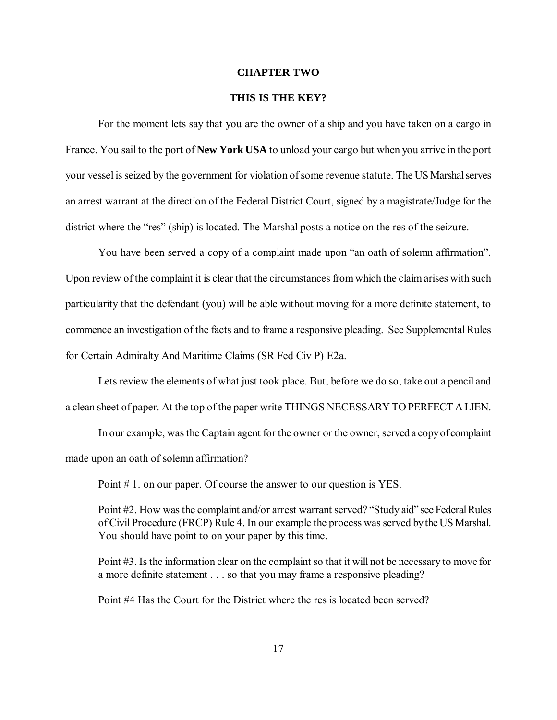#### **CHAPTER TWO**

# **THIS IS THE KEY?**

For the moment lets say that you are the owner of a ship and you have taken on a cargo in France. You sail to the port of **New York USA** to unload your cargo but when you arrive in the port your vessel is seized by the government for violation of some revenue statute. The US Marshal serves an arrest warrant at the direction of the Federal District Court, signed by a magistrate/Judge for the district where the "res" (ship) is located. The Marshal posts a notice on the res of the seizure.

You have been served a copy of a complaint made upon "an oath of solemn affirmation". Upon review of the complaint it is clear that the circumstances from which the claim arises with such particularity that the defendant (you) will be able without moving for a more definite statement, to commence an investigation of the facts and to frame a responsive pleading. See Supplemental Rules for Certain Admiralty And Maritime Claims (SR Fed Civ P) E2a.

Lets review the elements of what just took place. But, before we do so, take out a pencil and a clean sheet of paper. At the top of the paper write THINGS NECESSARY TO PERFECT A LIEN.

In our example, was the Captain agent for the owner or the owner, served a copy of complaint made upon an oath of solemn affirmation?

Point # 1. on our paper. Of course the answer to our question is YES.

Point #2. How was the complaint and/or arrest warrant served? "Study aid" see Federal Rules of Civil Procedure (FRCP) Rule 4. In our example the process was served by the US Marshal. You should have point to on your paper by this time.

Point #3. Is the information clear on the complaint so that it will not be necessary to move for a more definite statement . . . so that you may frame a responsive pleading?

Point #4 Has the Court for the District where the res is located been served?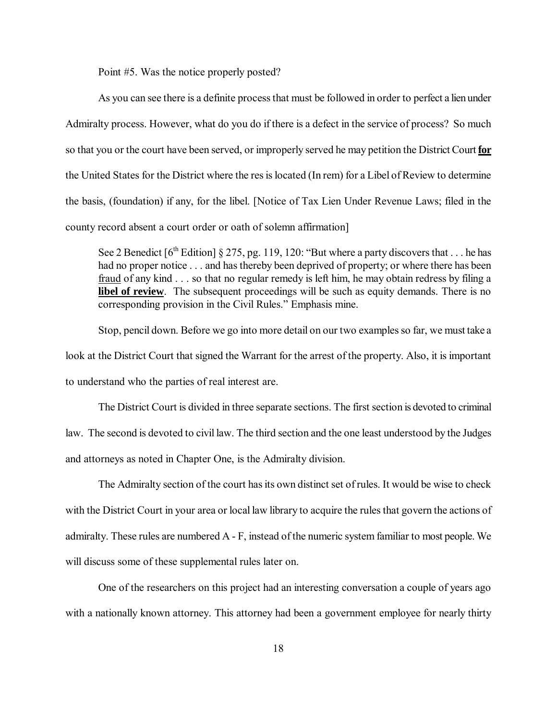Point #5. Was the notice properly posted?

As you can see there is a definite process that must be followed in order to perfect a lien under Admiralty process. However, what do you do if there is a defect in the service of process? So much so that you or the court have been served, or improperly served he may petition the District Court **for** the United States for the District where the res is located (In rem) for a Libel of Review to determine the basis, (foundation) if any, for the libel. [Notice of Tax Lien Under Revenue Laws; filed in the county record absent a court order or oath of solemn affirmation]

See 2 Benedict  $[6^{th}$  Edition] § 275, pg. 119, 120: "But where a party discovers that ... he has had no proper notice . . . and has thereby been deprived of property; or where there has been fraud of any kind . . . so that no regular remedy is left him, he may obtain redress by filing a **libel of review**. The subsequent proceedings will be such as equity demands. There is no corresponding provision in the Civil Rules." Emphasis mine.

Stop, pencil down. Before we go into more detail on our two examples so far, we must take a look at the District Court that signed the Warrant for the arrest of the property. Also, it is important to understand who the parties of real interest are.

The District Court is divided in three separate sections. The first section is devoted to criminal law. The second is devoted to civil law. The third section and the one least understood by the Judges and attorneys as noted in Chapter One, is the Admiralty division.

The Admiralty section of the court has its own distinct set of rules. It would be wise to check with the District Court in your area or local law library to acquire the rules that govern the actions of admiralty. These rules are numbered A - F, instead of the numeric system familiar to most people. We will discuss some of these supplemental rules later on.

One of the researchers on this project had an interesting conversation a couple of years ago with a nationally known attorney. This attorney had been a government employee for nearly thirty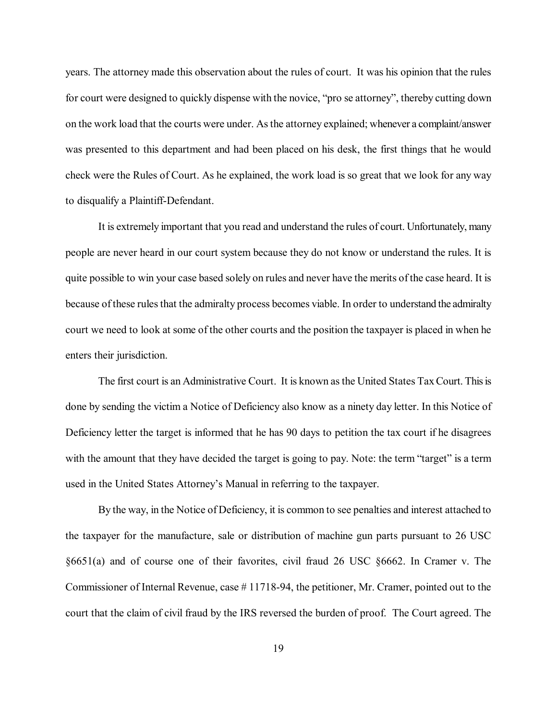years. The attorney made this observation about the rules of court. It was his opinion that the rules for court were designed to quickly dispense with the novice, "pro se attorney", thereby cutting down on the work load that the courts were under. As the attorney explained; whenever a complaint/answer was presented to this department and had been placed on his desk, the first things that he would check were the Rules of Court. As he explained, the work load is so great that we look for any way to disqualify a Plaintiff-Defendant.

It is extremely important that you read and understand the rules of court. Unfortunately, many people are never heard in our court system because they do not know or understand the rules. It is quite possible to win your case based solely on rules and never have the merits of the case heard. It is because of these rules that the admiralty process becomes viable. In order to understand the admiralty court we need to look at some of the other courts and the position the taxpayer is placed in when he enters their jurisdiction.

The first court is an Administrative Court. It is known as the United States Tax Court. This is done by sending the victim a Notice of Deficiency also know as a ninety day letter. In this Notice of Deficiency letter the target is informed that he has 90 days to petition the tax court if he disagrees with the amount that they have decided the target is going to pay. Note: the term "target" is a term used in the United States Attorney's Manual in referring to the taxpayer.

By the way, in the Notice of Deficiency, it is common to see penalties and interest attached to the taxpayer for the manufacture, sale or distribution of machine gun parts pursuant to 26 USC §6651(a) and of course one of their favorites, civil fraud 26 USC §6662. In Cramer v. The Commissioner of Internal Revenue, case # 11718-94, the petitioner, Mr. Cramer, pointed out to the court that the claim of civil fraud by the IRS reversed the burden of proof. The Court agreed. The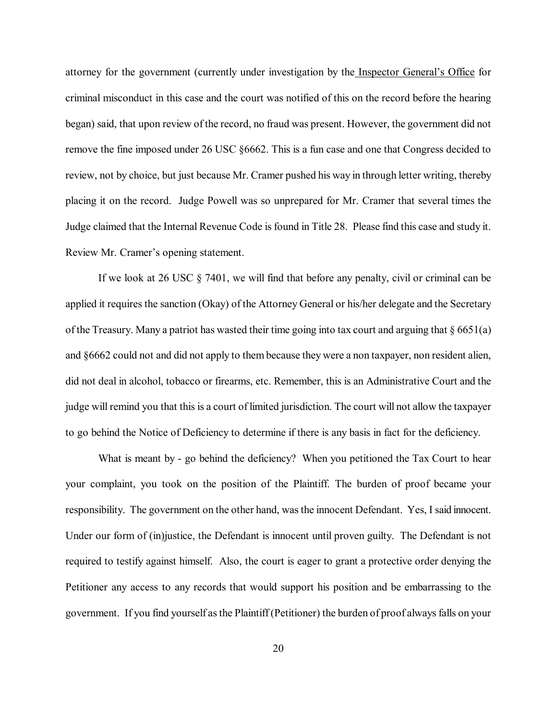attorney for the government (currently under investigation by the Inspector General's Office for criminal misconduct in this case and the court was notified of this on the record before the hearing began) said, that upon review of the record, no fraud was present. However, the government did not remove the fine imposed under 26 USC §6662. This is a fun case and one that Congress decided to review, not by choice, but just because Mr. Cramer pushed his way in through letter writing, thereby placing it on the record. Judge Powell was so unprepared for Mr. Cramer that several times the Judge claimed that the Internal Revenue Code is found in Title 28. Please find this case and study it. Review Mr. Cramer's opening statement.

If we look at 26 USC § 7401, we will find that before any penalty, civil or criminal can be applied it requires the sanction (Okay) of the Attorney General or his/her delegate and the Secretary of the Treasury. Many a patriot has wasted their time going into tax court and arguing that § 6651(a) and §6662 could not and did not apply to them because they were a non taxpayer, non resident alien, did not deal in alcohol, tobacco or firearms, etc. Remember, this is an Administrative Court and the judge will remind you that this is a court of limited jurisdiction. The court will not allow the taxpayer to go behind the Notice of Deficiency to determine if there is any basis in fact for the deficiency.

What is meant by - go behind the deficiency? When you petitioned the Tax Court to hear your complaint, you took on the position of the Plaintiff. The burden of proof became your responsibility. The government on the other hand, was the innocent Defendant. Yes, I said innocent. Under our form of (in)justice, the Defendant is innocent until proven guilty. The Defendant is not required to testify against himself. Also, the court is eager to grant a protective order denying the Petitioner any access to any records that would support his position and be embarrassing to the government. If you find yourself as the Plaintiff (Petitioner) the burden of proof always falls on your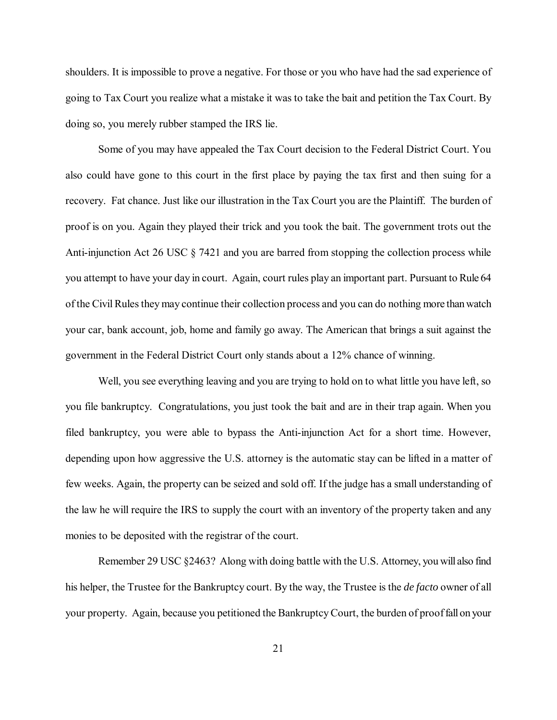shoulders. It is impossible to prove a negative. For those or you who have had the sad experience of going to Tax Court you realize what a mistake it was to take the bait and petition the Tax Court. By doing so, you merely rubber stamped the IRS lie.

Some of you may have appealed the Tax Court decision to the Federal District Court. You also could have gone to this court in the first place by paying the tax first and then suing for a recovery. Fat chance. Just like our illustration in the Tax Court you are the Plaintiff. The burden of proof is on you. Again they played their trick and you took the bait. The government trots out the Anti-injunction Act 26 USC § 7421 and you are barred from stopping the collection process while you attempt to have your day in court. Again, court rules play an important part. Pursuant to Rule 64 of the Civil Rules they may continue their collection process and you can do nothing more than watch your car, bank account, job, home and family go away. The American that brings a suit against the government in the Federal District Court only stands about a 12% chance of winning.

Well, you see everything leaving and you are trying to hold on to what little you have left, so you file bankruptcy. Congratulations, you just took the bait and are in their trap again. When you filed bankruptcy, you were able to bypass the Anti-injunction Act for a short time. However, depending upon how aggressive the U.S. attorney is the automatic stay can be lifted in a matter of few weeks. Again, the property can be seized and sold off. If the judge has a small understanding of the law he will require the IRS to supply the court with an inventory of the property taken and any monies to be deposited with the registrar of the court.

Remember 29 USC §2463? Along with doing battle with the U.S. Attorney, you will also find his helper, the Trustee for the Bankruptcy court. By the way, the Trustee is the *de facto* owner of all your property. Again, because you petitioned the Bankruptcy Court, the burden of proof fall on your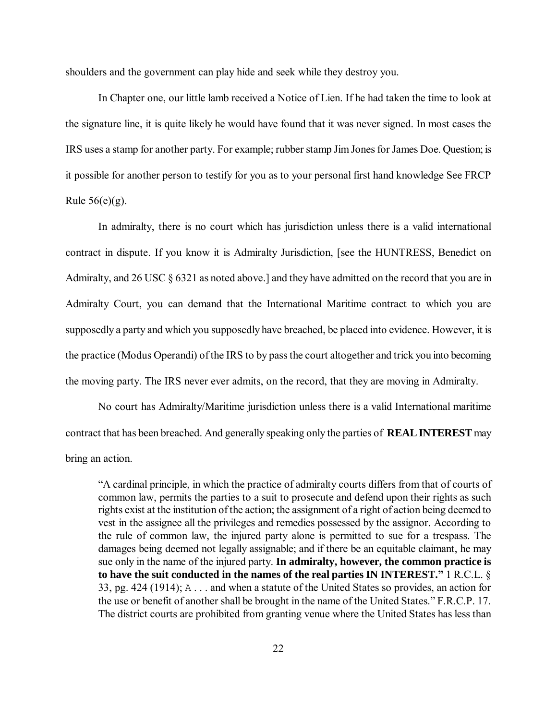shoulders and the government can play hide and seek while they destroy you.

In Chapter one, our little lamb received a Notice of Lien. If he had taken the time to look at the signature line, it is quite likely he would have found that it was never signed. In most cases the IRS uses a stamp for another party. For example; rubber stamp Jim Jones for James Doe. Question; is it possible for another person to testify for you as to your personal first hand knowledge See FRCP Rule  $56(e)(g)$ .

In admiralty, there is no court which has jurisdiction unless there is a valid international contract in dispute. If you know it is Admiralty Jurisdiction, [see the HUNTRESS, Benedict on Admiralty, and 26 USC § 6321 as noted above.] and they have admitted on the record that you are in Admiralty Court, you can demand that the International Maritime contract to which you are supposedly a party and which you supposedly have breached, be placed into evidence. However, it is the practice (Modus Operandi) of the IRS to by pass the court altogether and trick you into becoming the moving party. The IRS never ever admits, on the record, that they are moving in Admiralty.

No court has Admiralty/Maritime jurisdiction unless there is a valid International maritime contract that has been breached. And generally speaking only the parties of **REAL INTEREST** may bring an action.

"A cardinal principle, in which the practice of admiralty courts differs from that of courts of common law, permits the parties to a suit to prosecute and defend upon their rights as such rights exist at the institution of the action; the assignment of a right of action being deemed to vest in the assignee all the privileges and remedies possessed by the assignor. According to the rule of common law, the injured party alone is permitted to sue for a trespass. The damages being deemed not legally assignable; and if there be an equitable claimant, he may sue only in the name of the injured party. **In admiralty, however, the common practice is to have the suit conducted in the names of the real parties IN INTEREST."** 1 R.C.L. § 33, pg. 424 (1914); A . . . and when a statute of the United States so provides, an action for the use or benefit of another shall be brought in the name of the United States." F.R.C.P. 17. The district courts are prohibited from granting venue where the United States has less than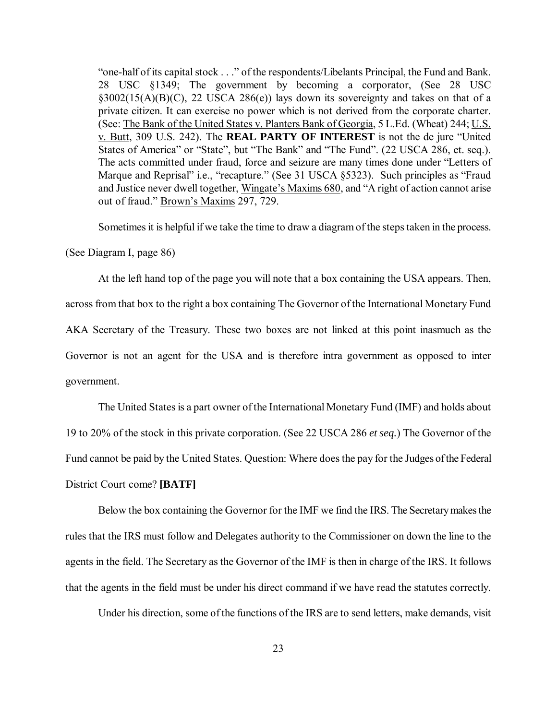"one-half of its capital stock . . ." of the respondents/Libelants Principal, the Fund and Bank. 28 USC §1349; The government by becoming a corporator, (See 28 USC  $\S3002(15(A)(B)(C), 22$  USCA 286(e)) lays down its sovereignty and takes on that of a private citizen. It can exercise no power which is not derived from the corporate charter. (See: The Bank of the United States v. Planters Bank of Georgia, 5 L.Ed. (Wheat) 244; U.S. v. Butt, 309 U.S. 242). The **REAL PARTY OF INTEREST** is not the de jure "United States of America" or "State", but "The Bank" and "The Fund". (22 USCA 286, et. seq.). The acts committed under fraud, force and seizure are many times done under "Letters of Marque and Reprisal" i.e., "recapture." (See 31 USCA §5323). Such principles as "Fraud and Justice never dwell together, Wingate's Maxims 680, and "A right of action cannot arise out of fraud." Brown's Maxims 297, 729.

Sometimes it is helpful if we take the time to draw a diagram of the steps taken in the process.

(See Diagram I, page 86)

At the left hand top of the page you will note that a box containing the USA appears. Then, across from that box to the right a box containing The Governor of the International Monetary Fund AKA Secretary of the Treasury. These two boxes are not linked at this point inasmuch as the Governor is not an agent for the USA and is therefore intra government as opposed to inter government.

The United States is a part owner of the International Monetary Fund (IMF) and holds about 19 to 20% of the stock in this private corporation. (See 22 USCA 286 *et seq.*) The Governor of the Fund cannot be paid by the United States. Question: Where does the pay for the Judges of the Federal District Court come? **[BATF]**

Below the box containing the Governor for the IMF we find the IRS. The Secretary makes the rules that the IRS must follow and Delegates authority to the Commissioner on down the line to the agents in the field. The Secretary as the Governor of the IMF is then in charge of the IRS. It follows that the agents in the field must be under his direct command if we have read the statutes correctly.

Under his direction, some of the functions of the IRS are to send letters, make demands, visit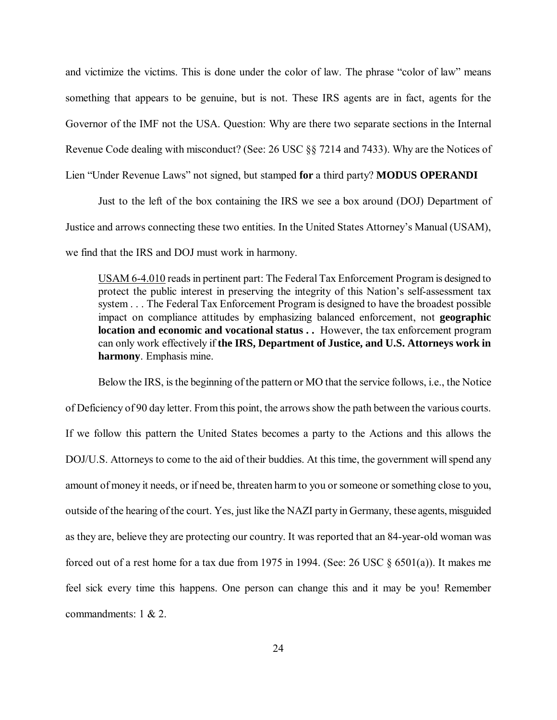and victimize the victims. This is done under the color of law. The phrase "color of law" means something that appears to be genuine, but is not. These IRS agents are in fact, agents for the Governor of the IMF not the USA. Question: Why are there two separate sections in the Internal Revenue Code dealing with misconduct? (See: 26 USC §§ 7214 and 7433). Why are the Notices of Lien "Under Revenue Laws" not signed, but stamped **for** a third party? **MODUS OPERANDI**

Just to the left of the box containing the IRS we see a box around (DOJ) Department of Justice and arrows connecting these two entities. In the United States Attorney's Manual (USAM), we find that the IRS and DOJ must work in harmony.

USAM 6-4.010 reads in pertinent part: The Federal Tax Enforcement Program is designed to protect the public interest in preserving the integrity of this Nation's self-assessment tax system . . . The Federal Tax Enforcement Program is designed to have the broadest possible impact on compliance attitudes by emphasizing balanced enforcement, not **geographic location and economic and vocational status ..** However, the tax enforcement program can only work effectively if **the IRS, Department of Justice, and U.S. Attorneys work in harmony**. Emphasis mine.

Below the IRS, is the beginning of the pattern or MO that the service follows, i.e., the Notice of Deficiency of 90 day letter. From this point, the arrows show the path between the various courts. If we follow this pattern the United States becomes a party to the Actions and this allows the DOJ/U.S. Attorneys to come to the aid of their buddies. At this time, the government will spend any amount of money it needs, or if need be, threaten harm to you or someone or something close to you, outside of the hearing of the court. Yes, just like the NAZI party in Germany, these agents, misguided as they are, believe they are protecting our country. It was reported that an 84-year-old woman was forced out of a rest home for a tax due from 1975 in 1994. (See: 26 USC § 6501(a)). It makes me feel sick every time this happens. One person can change this and it may be you! Remember commandments: 1 & 2.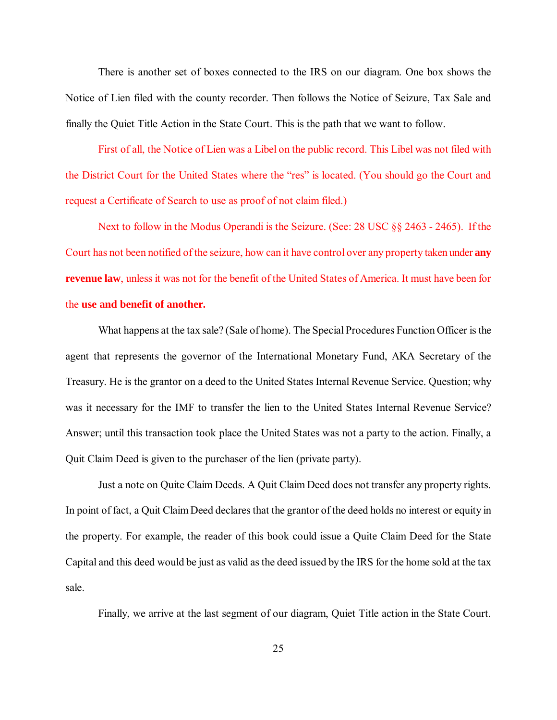There is another set of boxes connected to the IRS on our diagram. One box shows the Notice of Lien filed with the county recorder. Then follows the Notice of Seizure, Tax Sale and finally the Quiet Title Action in the State Court. This is the path that we want to follow.

First of all, the Notice of Lien was a Libel on the public record. This Libel was not filed with the District Court for the United States where the "res" is located. (You should go the Court and request a Certificate of Search to use as proof of not claim filed.)

Next to follow in the Modus Operandi is the Seizure. (See: 28 USC §§ 2463 - 2465). If the Court has not been notified of the seizure, how can it have control over any property taken under **any revenue law**, unless it was not for the benefit of the United States of America. It must have been for the **use and benefit of another.**

What happens at the tax sale? (Sale of home). The Special Procedures Function Officer is the agent that represents the governor of the International Monetary Fund, AKA Secretary of the Treasury. He is the grantor on a deed to the United States Internal Revenue Service. Question; why was it necessary for the IMF to transfer the lien to the United States Internal Revenue Service? Answer; until this transaction took place the United States was not a party to the action. Finally, a Quit Claim Deed is given to the purchaser of the lien (private party).

Just a note on Quite Claim Deeds. A Quit Claim Deed does not transfer any property rights. In point of fact, a Quit Claim Deed declares that the grantor of the deed holds no interest or equity in the property. For example, the reader of this book could issue a Quite Claim Deed for the State Capital and this deed would be just as valid as the deed issued by the IRS for the home sold at the tax sale.

Finally, we arrive at the last segment of our diagram, Quiet Title action in the State Court.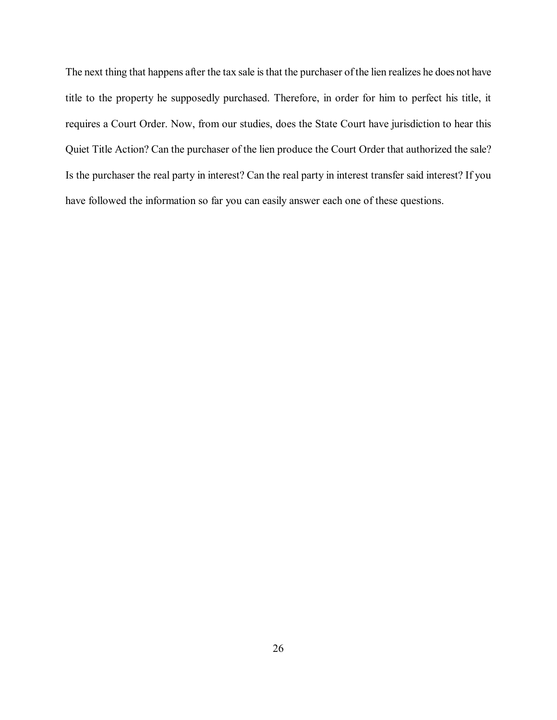The next thing that happens after the tax sale is that the purchaser of the lien realizes he does not have title to the property he supposedly purchased. Therefore, in order for him to perfect his title, it requires a Court Order. Now, from our studies, does the State Court have jurisdiction to hear this Quiet Title Action? Can the purchaser of the lien produce the Court Order that authorized the sale? Is the purchaser the real party in interest? Can the real party in interest transfer said interest? If you have followed the information so far you can easily answer each one of these questions.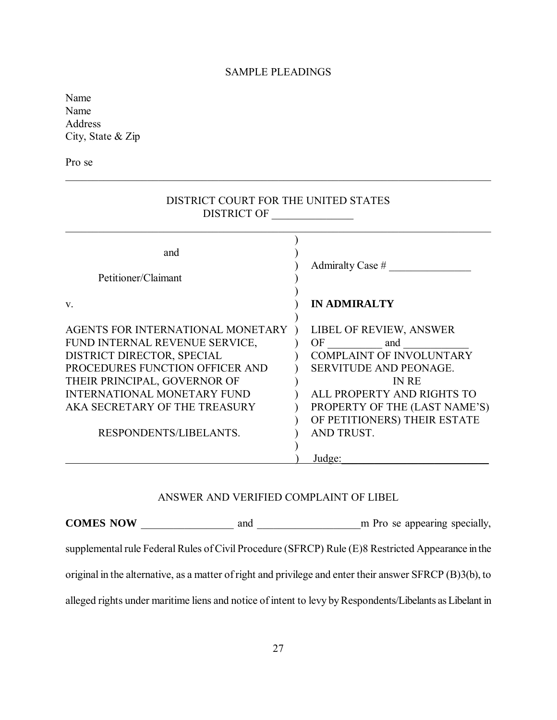# SAMPLE PLEADINGS

\_\_\_\_\_\_\_\_\_\_\_\_\_\_\_\_\_\_\_\_\_\_\_\_\_\_\_\_\_\_\_\_\_\_\_\_\_\_\_\_\_\_\_\_\_\_\_\_\_\_\_\_\_\_\_\_\_\_\_\_\_\_\_\_\_\_\_\_\_\_\_\_\_\_\_\_\_\_

Name Name Address City, State & Zip

Pro se

| DISTRICT COURT FOR THE UNITED STATES<br>DISTRICT OF                                                                                                                                                                                                                   |                                                                                                                                                                                                                             |  |
|-----------------------------------------------------------------------------------------------------------------------------------------------------------------------------------------------------------------------------------------------------------------------|-----------------------------------------------------------------------------------------------------------------------------------------------------------------------------------------------------------------------------|--|
| and<br>Petitioner/Claimant                                                                                                                                                                                                                                            | Admiralty Case $#$                                                                                                                                                                                                          |  |
| $V_{\cdot}$                                                                                                                                                                                                                                                           | <b>IN ADMIRALTY</b>                                                                                                                                                                                                         |  |
| AGENTS FOR INTERNATIONAL MONETARY<br>FUND INTERNAL REVENUE SERVICE,<br>DISTRICT DIRECTOR, SPECIAL<br>PROCEDURES FUNCTION OFFICER AND<br>THEIR PRINCIPAL, GOVERNOR OF<br><b>INTERNATIONAL MONETARY FUND</b><br>AKA SECRETARY OF THE TREASURY<br>RESPONDENTS/LIBELANTS. | LIBEL OF REVIEW, ANSWER<br>OF and<br><b>COMPLAINT OF INVOLUNTARY</b><br>SERVITUDE AND PEONAGE.<br><b>IN RE</b><br>ALL PROPERTY AND RIGHTS TO<br>PROPERTY OF THE (LAST NAME'S)<br>OF PETITIONERS) THEIR ESTATE<br>AND TRUST. |  |
|                                                                                                                                                                                                                                                                       | Judge:                                                                                                                                                                                                                      |  |

# ANSWER AND VERIFIED COMPLAINT OF LIBEL

**COMES NOW** \_\_\_\_\_\_\_\_\_\_\_\_\_\_\_\_\_ and \_\_\_\_\_\_\_\_\_\_\_\_\_\_\_\_\_\_\_m Pro se appearing specially, supplemental rule Federal Rules of Civil Procedure (SFRCP) Rule (E)8 Restricted Appearance in the original in the alternative, as a matter of right and privilege and enter their answer SFRCP (B)3(b), to alleged rights under maritime liens and notice of intent to levy by Respondents/Libelants as Libelant in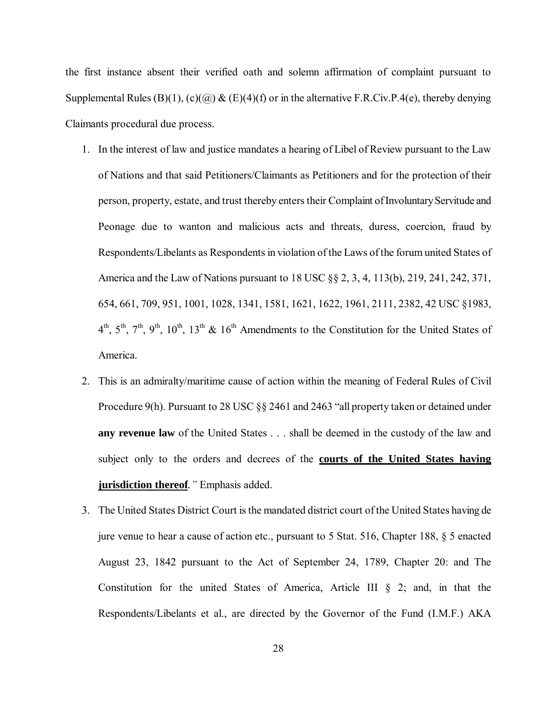the first instance absent their verified oath and solemn affirmation of complaint pursuant to Supplemental Rules (B)(1), (c)( $\omega$ ) & (E)(4)(f) or in the alternative F.R.Civ.P.4(e), thereby denying Claimants procedural due process.

- 1. In the interest of law and justice mandates a hearing of Libel of Review pursuant to the Law of Nations and that said Petitioners/Claimants as Petitioners and for the protection of their person, property, estate, and trust thereby enters their Complaint of Involuntary Servitude and Peonage due to wanton and malicious acts and threats, duress, coercion, fraud by Respondents/Libelants as Respondents in violation of the Laws of the forum united States of America and the Law of Nations pursuant to 18 USC §§ 2, 3, 4, 113(b), 219, 241, 242, 371, 654, 661, 709, 951, 1001, 1028, 1341, 1581, 1621, 1622, 1961, 2111, 2382, 42 USC §1983,  $4<sup>th</sup>$ ,  $5<sup>th</sup>$ ,  $7<sup>th</sup>$ ,  $9<sup>th</sup>$ ,  $10<sup>th</sup>$ ,  $13<sup>th</sup>$  &  $16<sup>th</sup>$  Amendments to the Constitution for the United States of America.
- 2. This is an admiralty/maritime cause of action within the meaning of Federal Rules of Civil Procedure 9(h). Pursuant to 28 USC §§ 2461 and 2463 "all property taken or detained under **any revenue law** of the United States . . . shall be deemed in the custody of the law and subject only to the orders and decrees of the **courts of the United States having jurisdiction thereof***."*Emphasis added.
- 3. The United States District Court is the mandated district court of the United States having de jure venue to hear a cause of action etc., pursuant to 5 Stat. 516, Chapter 188, § 5 enacted August 23, 1842 pursuant to the Act of September 24, 1789, Chapter 20: and The Constitution for the united States of America, Article III § 2; and, in that the Respondents/Libelants et al., are directed by the Governor of the Fund (I.M.F.) AKA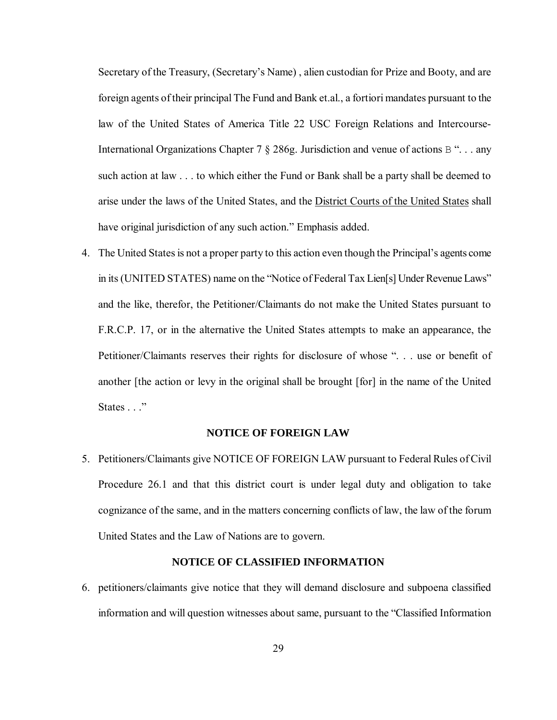Secretary of the Treasury, (Secretary's Name) , alien custodian for Prize and Booty, and are foreign agents of their principal The Fund and Bank et.al., a fortiori mandates pursuant to the law of the United States of America Title 22 USC Foreign Relations and Intercourse-International Organizations Chapter 7 § 286g. Jurisdiction and venue of actions B ". . . any such action at law . . . to which either the Fund or Bank shall be a party shall be deemed to arise under the laws of the United States, and the District Courts of the United States shall have original jurisdiction of any such action." Emphasis added.

4. The United States is not a proper party to this action even though the Principal's agents come in its (UNITED STATES) name on the "Notice of Federal Tax Lien[s] Under Revenue Laws" and the like, therefor, the Petitioner/Claimants do not make the United States pursuant to F.R.C.P. 17, or in the alternative the United States attempts to make an appearance, the Petitioner/Claimants reserves their rights for disclosure of whose ". . . use or benefit of another [the action or levy in the original shall be brought [for] in the name of the United States . . ."

#### **NOTICE OF FOREIGN LAW**

5. Petitioners/Claimants give NOTICE OF FOREIGN LAW pursuant to Federal Rules of Civil Procedure 26.1 and that this district court is under legal duty and obligation to take cognizance of the same, and in the matters concerning conflicts of law, the law of the forum United States and the Law of Nations are to govern.

#### **NOTICE OF CLASSIFIED INFORMATION**

6. petitioners/claimants give notice that they will demand disclosure and subpoena classified information and will question witnesses about same, pursuant to the "Classified Information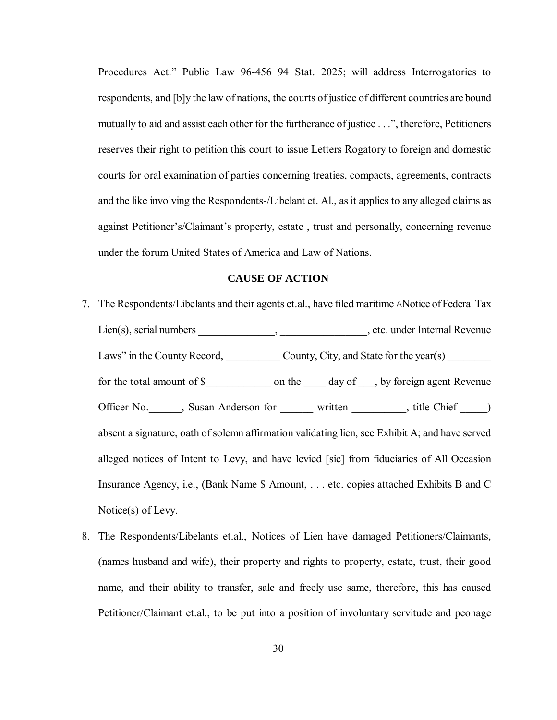Procedures Act." Public Law 96-456 94 Stat. 2025; will address Interrogatories to respondents, and [b]y the law of nations, the courts of justice of different countries are bound mutually to aid and assist each other for the furtherance of justice . . .", therefore, Petitioners reserves their right to petition this court to issue Letters Rogatory to foreign and domestic courts for oral examination of parties concerning treaties, compacts, agreements, contracts and the like involving the Respondents-/Libelant et. Al., as it applies to any alleged claims as against Petitioner's/Claimant's property, estate , trust and personally, concerning revenue under the forum United States of America and Law of Nations.

#### **CAUSE OF ACTION**

- 7. The Respondents/Libelants and their agents et.al., have filed maritime ANotice of Federal Tax Lien(s), serial numbers \_\_\_\_\_\_\_\_\_\_\_\_\_, \_\_\_\_\_\_\_\_\_\_\_\_\_\_\_\_, etc. under Internal Revenue Laws" in the County Record, \_\_\_\_\_\_\_\_\_\_\_\_\_ County, City, and State for the year(s) \_\_\_\_ for the total amount of \$\_\_\_\_\_\_\_\_\_\_\_\_\_\_ on the \_\_\_\_\_ day of \_\_\_, by foreign agent Revenue Officer No. Susan Anderson for written witten the Chief \_\_\_\_\_\_\_, title Chief \_\_\_\_\_\_\_, absent a signature, oath of solemn affirmation validating lien, see Exhibit A; and have served alleged notices of Intent to Levy, and have levied [sic] from fiduciaries of All Occasion Insurance Agency, i.e., (Bank Name \$ Amount, . . . etc. copies attached Exhibits B and C Notice(s) of Levy.
- 8. The Respondents/Libelants et.al., Notices of Lien have damaged Petitioners/Claimants, (names husband and wife), their property and rights to property, estate, trust, their good name, and their ability to transfer, sale and freely use same, therefore, this has caused Petitioner/Claimant et.al., to be put into a position of involuntary servitude and peonage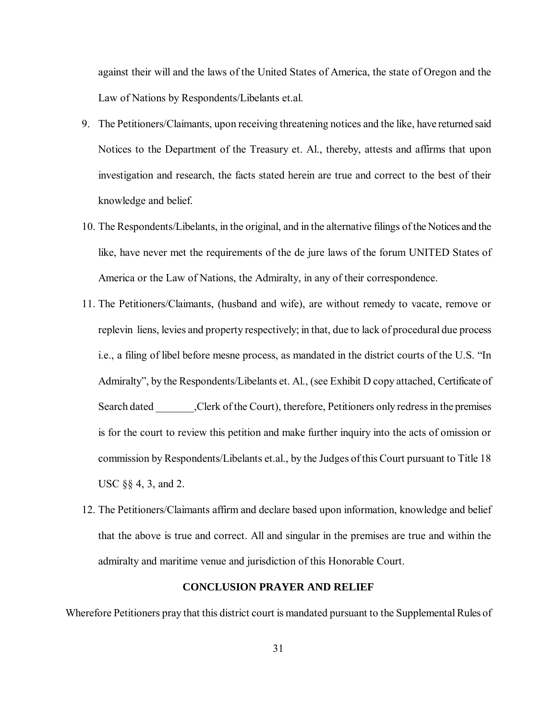against their will and the laws of the United States of America, the state of Oregon and the Law of Nations by Respondents/Libelants et.al.

- 9. The Petitioners/Claimants, upon receiving threatening notices and the like, have returned said Notices to the Department of the Treasury et. Al., thereby, attests and affirms that upon investigation and research, the facts stated herein are true and correct to the best of their knowledge and belief.
- 10. The Respondents/Libelants, in the original, and in the alternative filings of the Notices and the like, have never met the requirements of the de jure laws of the forum UNITED States of America or the Law of Nations, the Admiralty, in any of their correspondence.
- 11. The Petitioners/Claimants, (husband and wife), are without remedy to vacate, remove or replevin liens, levies and property respectively; in that, due to lack of procedural due process i.e., a filing of libel before mesne process, as mandated in the district courts of the U.S. "In Admiralty", by the Respondents/Libelants et. Al., (see Exhibit D copy attached, Certificate of Search dated Clerk of the Court), therefore, Petitioners only redress in the premises is for the court to review this petition and make further inquiry into the acts of omission or commission by Respondents/Libelants et.al., by the Judges of this Court pursuant to Title 18 USC §§ 4, 3, and 2.
- 12. The Petitioners/Claimants affirm and declare based upon information, knowledge and belief that the above is true and correct. All and singular in the premises are true and within the admiralty and maritime venue and jurisdiction of this Honorable Court.

# **CONCLUSION PRAYER AND RELIEF**

Wherefore Petitioners pray that this district court is mandated pursuant to the Supplemental Rules of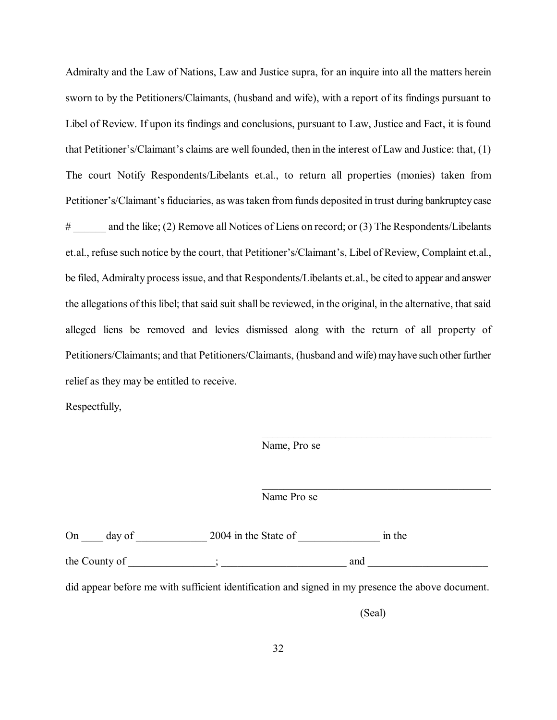Admiralty and the Law of Nations, Law and Justice supra, for an inquire into all the matters herein sworn to by the Petitioners/Claimants, (husband and wife), with a report of its findings pursuant to Libel of Review. If upon its findings and conclusions, pursuant to Law, Justice and Fact, it is found that Petitioner's/Claimant's claims are well founded, then in the interest of Law and Justice: that, (1) The court Notify Respondents/Libelants et.al., to return all properties (monies) taken from Petitioner's/Claimant's fiduciaries, as was taken from funds deposited in trust during bankruptcy case # and the like; (2) Remove all Notices of Liens on record; or (3) The Respondents/Libelants et.al., refuse such notice by the court, that Petitioner's/Claimant's, Libel of Review, Complaint et.al., be filed, Admiralty process issue, and that Respondents/Libelants et.al., be cited to appear and answer the allegations of this libel; that said suit shall be reviewed, in the original, in the alternative, that said alleged liens be removed and levies dismissed along with the return of all property of Petitioners/Claimants; and that Petitioners/Claimants, (husband and wife) may have such other further relief as they may be entitled to receive.

Respectfully,

Name, Pro se

Name Pro se

On \_\_\_\_ day of \_\_\_\_\_\_\_\_\_\_\_\_\_\_\_ 2004 in the State of \_\_\_\_\_\_\_\_\_\_\_\_\_\_\_\_\_\_\_ in the the County of  $\Box$ 

did appear before me with sufficient identification and signed in my presence the above document.

(Seal)

\_\_\_\_\_\_\_\_\_\_\_\_\_\_\_\_\_\_\_\_\_\_\_\_\_\_\_\_\_\_\_\_\_\_\_\_\_\_\_\_\_\_\_\_

 $\mathcal{L}_\mathcal{L}$  , and the contribution of the contribution of  $\mathcal{L}_\mathcal{L}$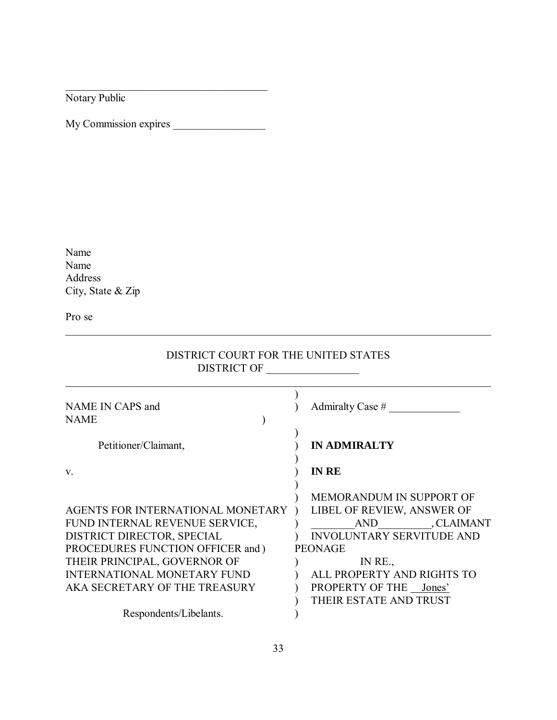Notary Public

My Commission expires \_\_\_\_\_\_\_\_\_\_\_\_\_\_\_\_\_

\_\_\_\_\_\_\_\_\_\_\_\_\_\_\_\_\_\_\_\_\_\_\_\_\_\_\_\_\_\_\_\_\_\_\_\_\_

Name Name Address City, State & Zip

Pro se

# DISTRICT COURT FOR THE UNITED STATES DISTRICT OF \_\_\_\_\_\_\_\_\_\_\_\_\_\_\_\_\_

\_\_\_\_\_\_\_\_\_\_\_\_\_\_\_\_\_\_\_\_\_\_\_\_\_\_\_\_\_\_\_\_\_\_\_\_\_\_\_\_\_\_\_\_\_\_\_\_\_\_\_\_\_\_\_\_\_\_\_\_\_\_\_\_\_\_\_\_\_\_\_\_\_\_\_\_\_\_

| NAME IN CAPS and<br><b>NAME</b>                                                                                                                                                                                                               | Admiralty Case $#$                                                                                                                                                                                                                |
|-----------------------------------------------------------------------------------------------------------------------------------------------------------------------------------------------------------------------------------------------|-----------------------------------------------------------------------------------------------------------------------------------------------------------------------------------------------------------------------------------|
| Petitioner/Claimant,                                                                                                                                                                                                                          | <b>IN ADMIRALTY</b>                                                                                                                                                                                                               |
| $V_{\cdot}$                                                                                                                                                                                                                                   | <b>IN RE</b>                                                                                                                                                                                                                      |
| AGENTS FOR INTERNATIONAL MONETARY<br>FUND INTERNAL REVENUE SERVICE,<br>DISTRICT DIRECTOR, SPECIAL<br>PROCEDURES FUNCTION OFFICER and )<br>THEIR PRINCIPAL, GOVERNOR OF<br><b>INTERNATIONAL MONETARY FUND</b><br>AKA SECRETARY OF THE TREASURY | MEMORANDUM IN SUPPORT OF<br>LIBEL OF REVIEW, ANSWER OF<br>AND CLAIMANT<br><b>INVOLUNTARY SERVITUDE AND</b><br><b>PEONAGE</b><br>IN $RE_{\cdot}$<br>ALL PROPERTY AND RIGHTS TO<br>PROPERTY OF THE Jones'<br>THEIR ESTATE AND TRUST |
| Respondents/Libelants.                                                                                                                                                                                                                        |                                                                                                                                                                                                                                   |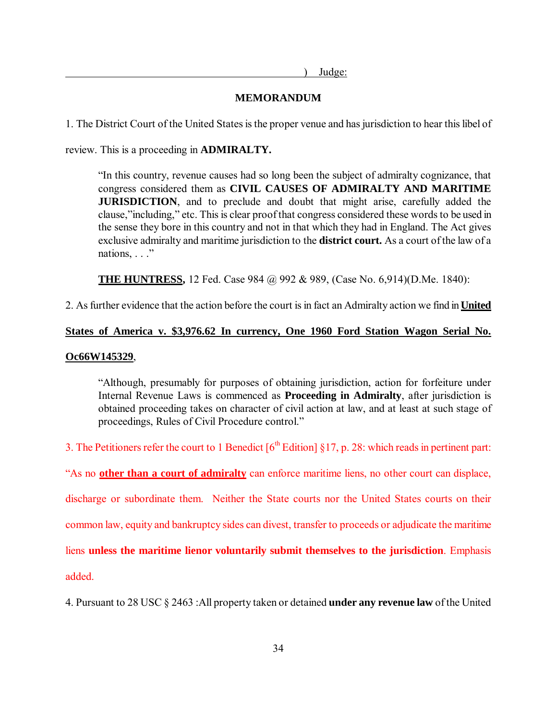) Judge:

# **MEMORANDUM**

1. The District Court of the United States is the proper venue and has jurisdiction to hear this libel of

review. This is a proceeding in **ADMIRALTY.**

"In this country, revenue causes had so long been the subject of admiralty cognizance, that congress considered them as **CIVIL CAUSES OF ADMIRALTY AND MARITIME JURISDICTION**, and to preclude and doubt that might arise, carefully added the clause,"including," etc. This is clear proof that congress considered these words to be used in the sense they bore in this country and not in that which they had in England. The Act gives exclusive admiralty and maritime jurisdiction to the **district court.** As a court of the law of a nations, . . ."

**THE HUNTRESS,** 12 Fed. Case 984 @ 992 & 989, (Case No. 6,914)(D.Me. 1840):

2. As further evidence that the action before the court is in fact an Admiralty action we find in **United** 

# **States of America v. \$3,976.62 In currency, One 1960 Ford Station Wagon Serial No.**

# **Oc66W145329**,

"Although, presumably for purposes of obtaining jurisdiction, action for forfeiture under Internal Revenue Laws is commenced as **Proceeding in Admiralty**, after jurisdiction is obtained proceeding takes on character of civil action at law, and at least at such stage of proceedings, Rules of Civil Procedure control."

3. The Petitioners refer the court to 1 Benedict  $[6<sup>th</sup> Edition]$  §17, p. 28: which reads in pertinent part:

"As no **other than a court of admiralty** can enforce maritime liens, no other court can displace,

discharge or subordinate them. Neither the State courts nor the United States courts on their

common law, equity and bankruptcy sides can divest, transfer to proceeds or adjudicate the maritime

liens **unless the maritime lienor voluntarily submit themselves to the jurisdiction**. Emphasis

added.

4. Pursuant to 28 USC § 2463 :All property taken or detained **under any revenue law** of the United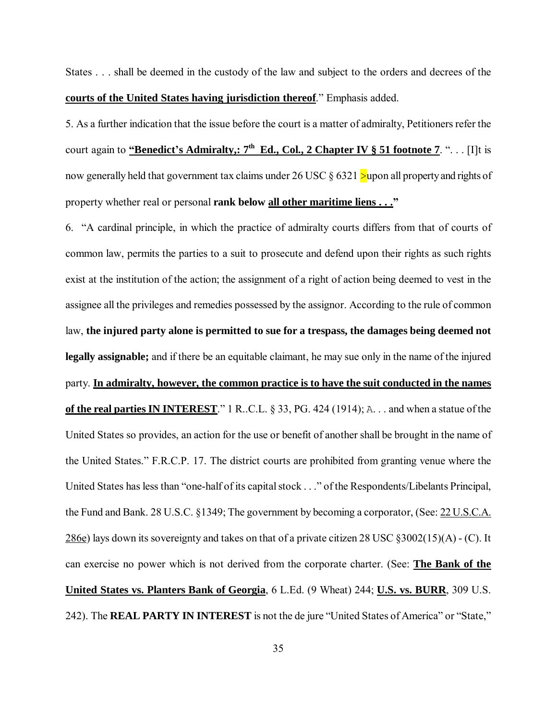States . . . shall be deemed in the custody of the law and subject to the orders and decrees of the **courts of the United States having jurisdiction thereof**." Emphasis added.

5. As a further indication that the issue before the court is a matter of admiralty, Petitioners refer the court again to **"Benedict's Admiralty,: 7<sup>th</sup> Ed., Col., 2 Chapter IV § 51 footnote 7. "...** [I]t is now generally held that government tax claims under 26 USC  $\S 6321$  >upon all property and rights of property whether real or personal **rank below all other maritime liens . . ."**

6. "A cardinal principle, in which the practice of admiralty courts differs from that of courts of common law, permits the parties to a suit to prosecute and defend upon their rights as such rights exist at the institution of the action; the assignment of a right of action being deemed to vest in the assignee all the privileges and remedies possessed by the assignor. According to the rule of common law, **the injured party alone is permitted to sue for a trespass, the damages being deemed not legally assignable;** and if there be an equitable claimant, he may sue only in the name of the injured party. **In admiralty, however, the common practice is to have the suit conducted in the names of the real parties IN INTEREST**." 1 R..C.L. § 33, PG. 424 (1914); A. . . and when a statue of the United States so provides, an action for the use or benefit of another shall be brought in the name of the United States." F.R.C.P. 17. The district courts are prohibited from granting venue where the United States has less than "one-half of its capital stock . . ." of the Respondents/Libelants Principal, the Fund and Bank. 28 U.S.C. §1349; The government by becoming a corporator, (See: 22 U.S.C.A. 286e) lays down its sovereignty and takes on that of a private citizen 28 USC §3002(15)(A) - (C). It can exercise no power which is not derived from the corporate charter. (See: **The Bank of the United States vs. Planters Bank of Georgia**, 6 L.Ed. (9 Wheat) 244; **U.S. vs. BURR**, 309 U.S. 242). The **REAL PARTY IN INTEREST** is not the de jure "United States of America" or "State,"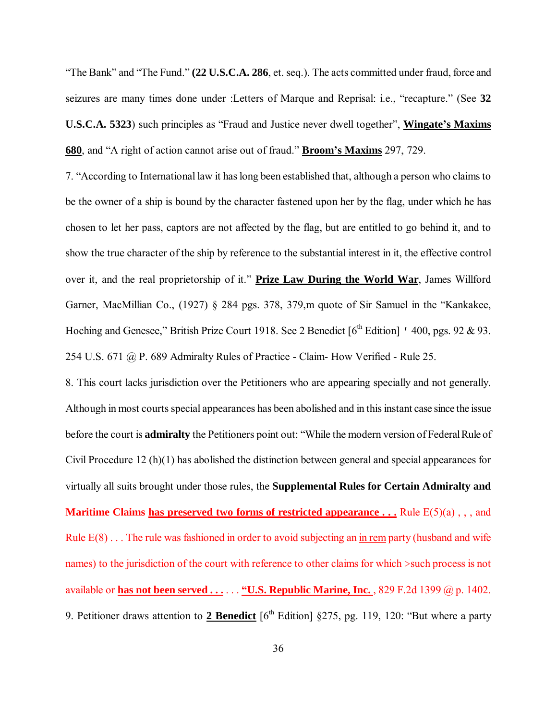"The Bank" and "The Fund."**(22 U.S.C.A. 286**, et. seq.). The acts committed under fraud, force and seizures are many times done under :Letters of Marque and Reprisal: i.e., "recapture." (See **32 U.S.C.A. 5323**) such principles as "Fraud and Justice never dwell together", **Wingate's Maxims 680**, and "A right of action cannot arise out of fraud."**Broom's Maxims** 297, 729.

7. "According to International law it has long been established that, although a person who claims to be the owner of a ship is bound by the character fastened upon her by the flag, under which he has chosen to let her pass, captors are not affected by the flag, but are entitled to go behind it, and to show the true character of the ship by reference to the substantial interest in it, the effective control over it, and the real proprietorship of it." **Prize Law During the World War**, James Willford Garner, MacMillian Co., (1927) § 284 pgs. 378, 379,m quote of Sir Samuel in the "Kankakee, Hoching and Genesee," British Prize Court 1918. See 2 Benedict  $[6<sup>th</sup> Edition]$  ' 400, pgs. 92 & 93. 254 U.S. 671 @ P. 689 Admiralty Rules of Practice - Claim- How Verified - Rule 25.

8. This court lacks jurisdiction over the Petitioners who are appearing specially and not generally. Although in most courts special appearances has been abolished and in this instant case since the issue before the court is **admiralty** the Petitioners point out: "While the modern version of Federal Rule of Civil Procedure 12 (h)(1) has abolished the distinction between general and special appearances for virtually all suits brought under those rules, the **Supplemental Rules for Certain Admiralty and Maritime Claims has preserved two forms of restricted appearance ...** Rule  $E(5)(a)$ , , , and Rule E(8) . . . The rule was fashioned in order to avoid subjecting an in rem party (husband and wife names) to the jurisdiction of the court with reference to other claims for which >such process is not available or **has not been served . . .** . . . **"U.S. Republic Marine, Inc.** , 829 F.2d 1399 @ p. 1402. 9. Petitioner draws attention to 2 Benedict [6<sup>th</sup> Edition] §275, pg. 119, 120: "But where a party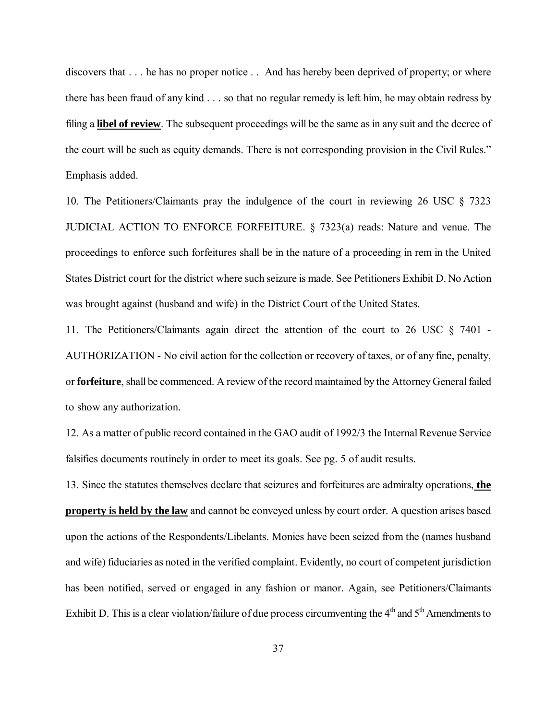discovers that . . . he has no proper notice . . And has hereby been deprived of property; or where there has been fraud of any kind . . . so that no regular remedy is left him, he may obtain redress by filing a **libel of review**. The subsequent proceedings will be the same as in any suit and the decree of the court will be such as equity demands. There is not corresponding provision in the Civil Rules." Emphasis added.

10. The Petitioners/Claimants pray the indulgence of the court in reviewing 26 USC § 7323 JUDICIAL ACTION TO ENFORCE FORFEITURE. § 7323(a) reads: Nature and venue. The proceedings to enforce such forfeitures shall be in the nature of a proceeding in rem in the United States District court for the district where such seizure is made. See Petitioners Exhibit D. No Action was brought against (husband and wife) in the District Court of the United States.

11. The Petitioners/Claimants again direct the attention of the court to 26 USC § 7401 - AUTHORIZATION - No civil action for the collection or recovery of taxes, or of any fine, penalty, or **forfeiture**, shall be commenced. A review of the record maintained by the Attorney General failed to show any authorization.

12. As a matter of public record contained in the GAO audit of 1992/3 the Internal Revenue Service falsifies documents routinely in order to meet its goals. See pg. 5 of audit results.

13. Since the statutes themselves declare that seizures and forfeitures are admiralty operations, **the property is held by the law** and cannot be conveyed unless by court order. A question arises based upon the actions of the Respondents/Libelants. Monies have been seized from the (names husband and wife) fiduciaries as noted in the verified complaint. Evidently, no court of competent jurisdiction has been notified, served or engaged in any fashion or manor. Again, see Petitioners/Claimants Exhibit D. This is a clear violation/failure of due process circumventing the  $4<sup>th</sup>$  and  $5<sup>th</sup>$  Amendments to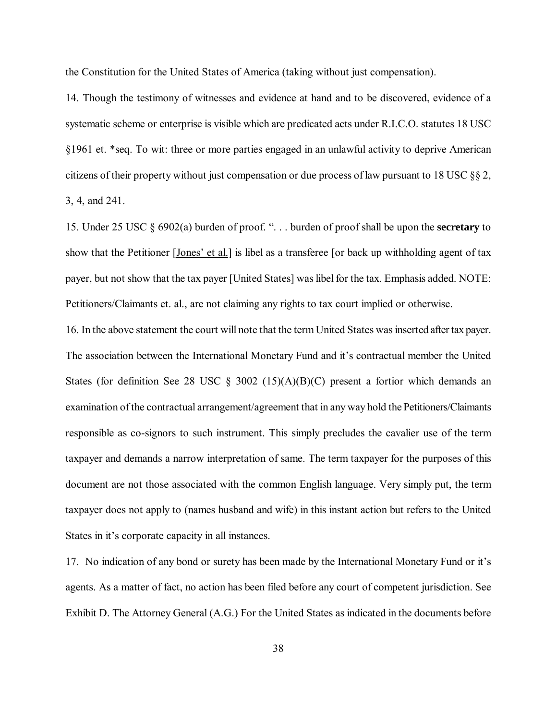the Constitution for the United States of America (taking without just compensation).

14. Though the testimony of witnesses and evidence at hand and to be discovered, evidence of a systematic scheme or enterprise is visible which are predicated acts under R.I.C.O. statutes 18 USC §1961 et. \*seq. To wit: three or more parties engaged in an unlawful activity to deprive American citizens of their property without just compensation or due process of law pursuant to 18 USC §§ 2, 3, 4, and 241.

15. Under 25 USC § 6902(a) burden of proof. ". . . burden of proof shall be upon the **secretary** to show that the Petitioner [Jones' et al.] is libel as a transferee [or back up withholding agent of tax payer, but not show that the tax payer [United States] was libel for the tax. Emphasis added. NOTE: Petitioners/Claimants et. al., are not claiming any rights to tax court implied or otherwise.

16. In the above statement the court will note that the term United States was inserted after tax payer. The association between the International Monetary Fund and it's contractual member the United States (for definition See 28 USC  $\S$  3002 (15)(A)(B)(C) present a fortior which demands an examination of the contractual arrangement/agreement that in any way hold the Petitioners/Claimants responsible as co-signors to such instrument. This simply precludes the cavalier use of the term taxpayer and demands a narrow interpretation of same. The term taxpayer for the purposes of this document are not those associated with the common English language. Very simply put, the term taxpayer does not apply to (names husband and wife) in this instant action but refers to the United States in it's corporate capacity in all instances.

17. No indication of any bond or surety has been made by the International Monetary Fund or it's agents. As a matter of fact, no action has been filed before any court of competent jurisdiction. See Exhibit D. The Attorney General (A.G.) For the United States as indicated in the documents before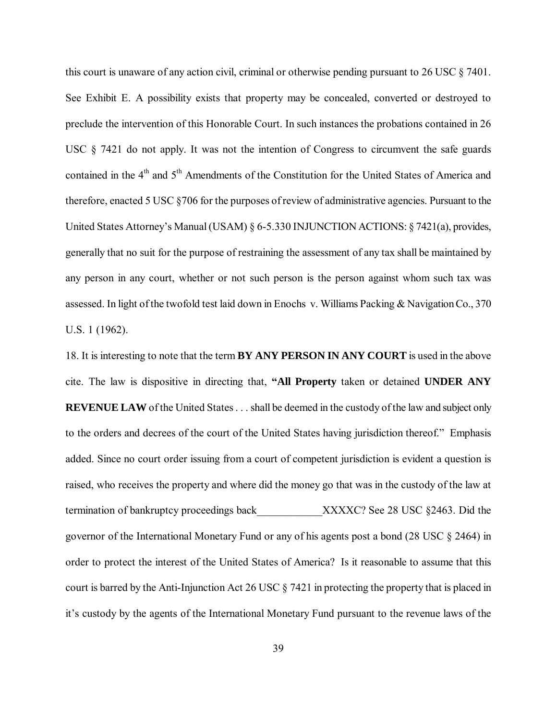this court is unaware of any action civil, criminal or otherwise pending pursuant to 26 USC § 7401. See Exhibit E. A possibility exists that property may be concealed, converted or destroyed to preclude the intervention of this Honorable Court. In such instances the probations contained in 26 USC § 7421 do not apply. It was not the intention of Congress to circumvent the safe guards contained in the  $4<sup>th</sup>$  and  $5<sup>th</sup>$  Amendments of the Constitution for the United States of America and therefore, enacted 5 USC §706 for the purposes of review of administrative agencies. Pursuant to the United States Attorney's Manual (USAM) § 6-5.330 INJUNCTION ACTIONS: § 7421(a), provides, generally that no suit for the purpose of restraining the assessment of any tax shall be maintained by any person in any court, whether or not such person is the person against whom such tax was assessed. In light of the twofold test laid down in Enochs v. Williams Packing & Navigation Co., 370 U.S. 1 (1962).

18. It is interesting to note that the term **BY ANY PERSON IN ANY COURT** is used in the above cite. The law is dispositive in directing that, **"All Property** taken or detained **UNDER ANY REVENUE LAW** of the United States . . . shall be deemed in the custody of the law and subject only to the orders and decrees of the court of the United States having jurisdiction thereof." Emphasis added. Since no court order issuing from a court of competent jurisdiction is evident a question is raised, who receives the property and where did the money go that was in the custody of the law at termination of bankruptcy proceedings back XXXXC? See 28 USC §2463. Did the governor of the International Monetary Fund or any of his agents post a bond (28 USC § 2464) in order to protect the interest of the United States of America? Is it reasonable to assume that this court is barred by the Anti-Injunction Act 26 USC § 7421 in protecting the property that is placed in it's custody by the agents of the International Monetary Fund pursuant to the revenue laws of the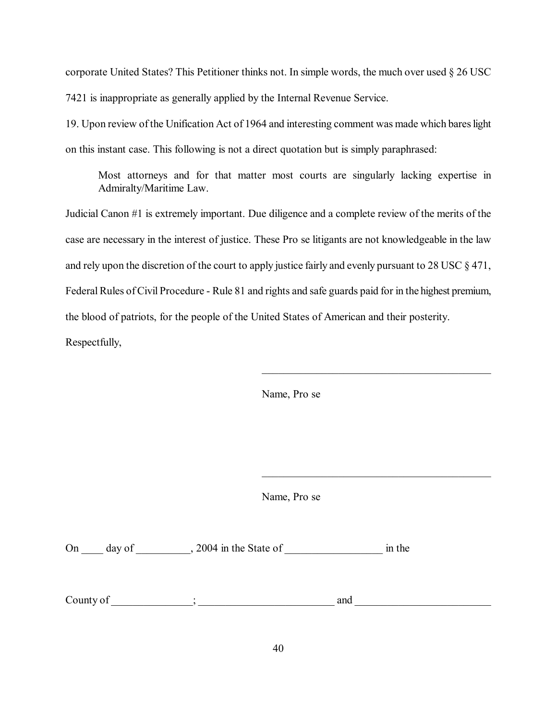corporate United States? This Petitioner thinks not. In simple words, the much over used § 26 USC 7421 is inappropriate as generally applied by the Internal Revenue Service.

19. Upon review of the Unification Act of 1964 and interesting comment was made which bares light on this instant case. This following is not a direct quotation but is simply paraphrased:

Most attorneys and for that matter most courts are singularly lacking expertise in Admiralty/Maritime Law.

Judicial Canon #1 is extremely important. Due diligence and a complete review of the merits of the case are necessary in the interest of justice. These Pro se litigants are not knowledgeable in the law and rely upon the discretion of the court to apply justice fairly and evenly pursuant to 28 USC § 471, Federal Rules of Civil Procedure - Rule 81 and rights and safe guards paid for in the highest premium, the blood of patriots, for the people of the United States of American and their posterity. Respectfully,

Name, Pro se

 $\mathcal{L}_\mathcal{L}$  , which is a set of the set of the set of the set of the set of the set of the set of the set of the set of the set of the set of the set of the set of the set of the set of the set of the set of the set of

 $\mathcal{L}_\mathcal{L}$  , which is a set of the set of the set of the set of the set of the set of the set of the set of the set of the set of the set of the set of the set of the set of the set of the set of the set of the set of

Name, Pro se

On \_\_\_\_ day of \_\_\_\_\_\_\_\_\_, 2004 in the State of \_\_\_\_\_\_\_\_\_\_\_\_\_\_\_\_\_\_\_\_\_\_\_\_ in the

County of  $\Box$   $\Box$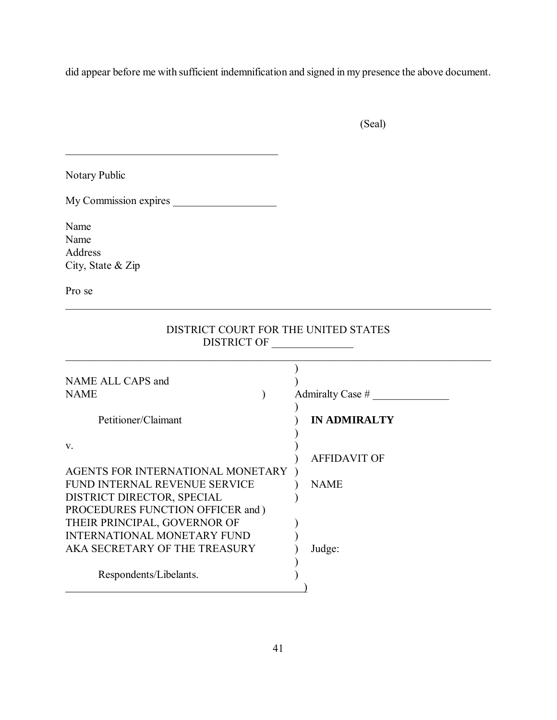did appear before me with sufficient indemnification and signed in my presence the above document.

(Seal)

Notary Public

My Commission expires \_\_\_\_\_\_\_\_\_\_\_\_\_\_\_\_\_\_\_

\_\_\_\_\_\_\_\_\_\_\_\_\_\_\_\_\_\_\_\_\_\_\_\_\_\_\_\_\_\_\_\_\_\_\_\_\_\_\_

Name Name Address City, State & Zip

Pro se

# DISTRICT COURT FOR THE UNITED STATES DISTRICT OF \_\_\_\_\_\_\_\_\_\_\_\_\_\_\_

\_\_\_\_\_\_\_\_\_\_\_\_\_\_\_\_\_\_\_\_\_\_\_\_\_\_\_\_\_\_\_\_\_\_\_\_\_\_\_\_\_\_\_\_\_\_\_\_\_\_\_\_\_\_\_\_\_\_\_\_\_\_\_\_\_\_\_\_\_\_\_\_\_\_\_\_\_\_

| NAME ALL CAPS and<br><b>NAME</b>   | Admiralty Case #    |
|------------------------------------|---------------------|
| Petitioner/Claimant                | <b>IN ADMIRALTY</b> |
| $V_{\cdot}$                        | <b>AFFIDAVIT OF</b> |
| AGENTS FOR INTERNATIONAL MONETARY  |                     |
| FUND INTERNAL REVENUE SERVICE      | <b>NAME</b>         |
| DISTRICT DIRECTOR, SPECIAL         |                     |
| PROCEDURES FUNCTION OFFICER and )  |                     |
| THEIR PRINCIPAL, GOVERNOR OF       |                     |
| <b>INTERNATIONAL MONETARY FUND</b> |                     |
| AKA SECRETARY OF THE TREASURY      | Judge:              |
| Respondents/Libelants.             |                     |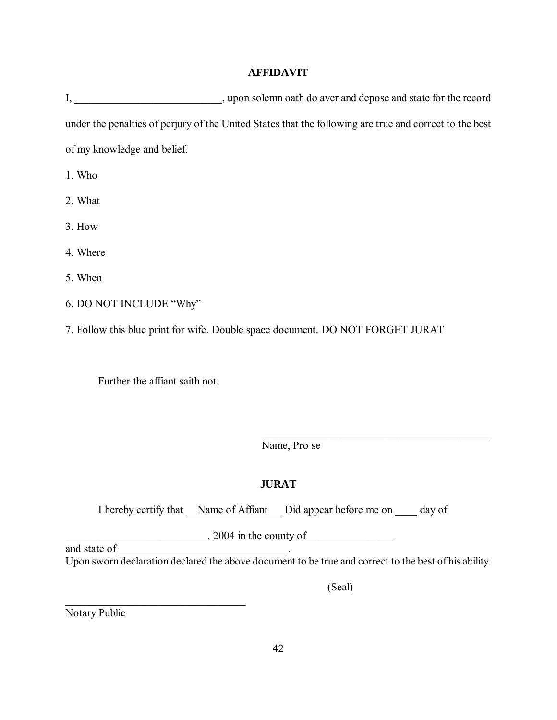# **AFFIDAVIT**

I, \_\_\_\_\_\_\_\_\_\_\_\_\_\_\_\_\_\_\_\_\_\_\_\_\_, upon solemn oath do aver and depose and state for the record under the penalties of perjury of the United States that the following are true and correct to the best of my knowledge and belief.

1. Who

- 2. What
- 3. How

4. Where

5. When

- 6. DO NOT INCLUDE "Why"
- 7. Follow this blue print for wife. Double space document. DO NOT FORGET JURAT

Further the affiant saith not,

 $\mathcal{L}$  , which is a set of the set of the set of the set of the set of the set of the set of the set of the set of the set of the set of the set of the set of the set of the set of the set of the set of the set of the s

Name, Pro se

# **JURAT**

I hereby certify that <u>Name of Affiant</u> Did appear before me on day of

 $\frac{2004 \text{ in the county of}}{2004 \text{ in the county of}}$ 

Upon sworn declaration declared the above document to be true and correct to the best of his ability.

(Seal)

 $\mathcal{L}_\mathcal{L}$  , which is a set of the set of the set of the set of the set of the set of the set of the set of the set of the set of the set of the set of the set of the set of the set of the set of the set of the set of

Notary Public

and state of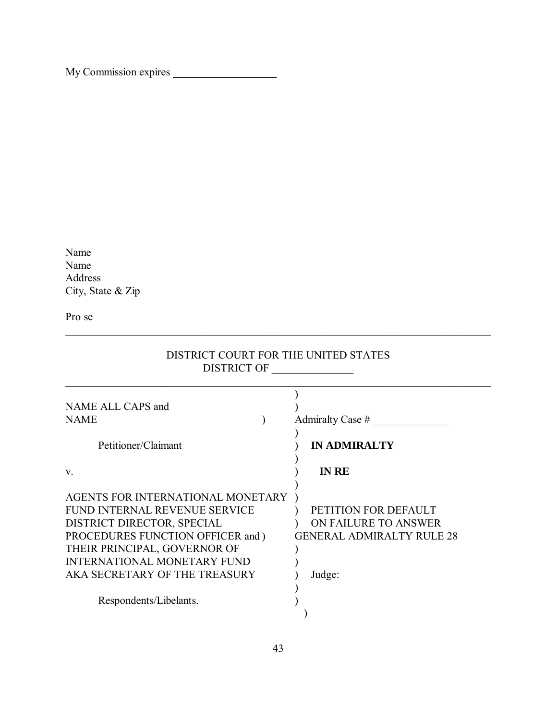My Commission expires \_\_\_\_\_\_\_\_\_\_\_\_\_\_\_\_\_\_\_

Name Name Address City, State & Zip

Pro se

| <b>DISTRICT OF</b>                                                                                                                                                                                                                           |                                                                                            |
|----------------------------------------------------------------------------------------------------------------------------------------------------------------------------------------------------------------------------------------------|--------------------------------------------------------------------------------------------|
| NAME ALL CAPS and<br>NAME<br>Petitioner/Claimant                                                                                                                                                                                             | Admiralty Case $#$<br><b>IN ADMIRALTY</b>                                                  |
| V.                                                                                                                                                                                                                                           | <b>IN RE</b>                                                                               |
| AGENTS FOR INTERNATIONAL MONETARY<br>FUND INTERNAL REVENUE SERVICE<br>DISTRICT DIRECTOR, SPECIAL<br>PROCEDURES FUNCTION OFFICER and )<br>THEIR PRINCIPAL, GOVERNOR OF<br><b>INTERNATIONAL MONETARY FUND</b><br>AKA SECRETARY OF THE TREASURY | PETITION FOR DEFAULT<br>ON FAILURE TO ANSWER<br><b>GENERAL ADMIRALTY RULE 28</b><br>Judge: |
| Respondents/Libelants.                                                                                                                                                                                                                       |                                                                                            |

# DISTRICT COURT FOR THE UNITED STATES

\_\_\_\_\_\_\_\_\_\_\_\_\_\_\_\_\_\_\_\_\_\_\_\_\_\_\_\_\_\_\_\_\_\_\_\_\_\_\_\_\_\_\_\_\_\_\_\_\_\_\_\_\_\_\_\_\_\_\_\_\_\_\_\_\_\_\_\_\_\_\_\_\_\_\_\_\_\_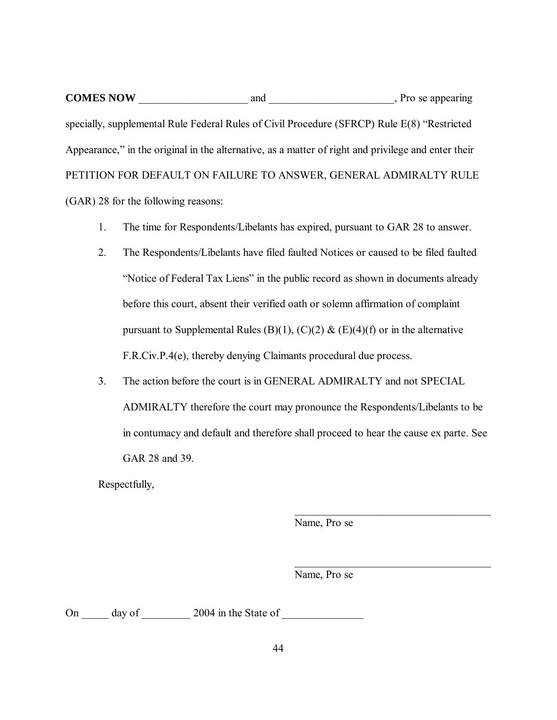**COMES NOW** and and property provide a property provide a property provide a property provide a property provide a property provide a property provide a property provide a property provide a property provide a property pro specially, supplemental Rule Federal Rules of Civil Procedure (SFRCP) Rule E(8) "Restricted Appearance," in the original in the alternative, as a matter of right and privilege and enter their PETITION FOR DEFAULT ON FAILURE TO ANSWER, GENERAL ADMIRALTY RULE (GAR) 28 for the following reasons:

- 1. The time for Respondents/Libelants has expired, pursuant to GAR 28 to answer.
- 2. The Respondents/Libelants have filed faulted Notices or caused to be filed faulted "Notice of Federal Tax Liens" in the public record as shown in documents already before this court, absent their verified oath or solemn affirmation of complaint pursuant to Supplemental Rules (B)(1), (C)(2) & (E)(4)(f) or in the alternative F.R.Civ.P.4(e), thereby denying Claimants procedural due process.
- 3. The action before the court is in GENERAL ADMIRALTY and not SPECIAL ADMIRALTY therefore the court may pronounce the Respondents/Libelants to be in contumacy and default and therefore shall proceed to hear the cause ex parte. See GAR 28 and 39.

Respectfully,

Name, Pro se

 $\_$  . The set of the set of the set of the set of the set of the set of the set of the set of the set of the set of the set of the set of the set of the set of the set of the set of the set of the set of the set of the se

 $\_$  . The set of the set of the set of the set of the set of the set of the set of the set of the set of the set of the set of the set of the set of the set of the set of the set of the set of the set of the set of the se

Name, Pro se

On day of 2004 in the State of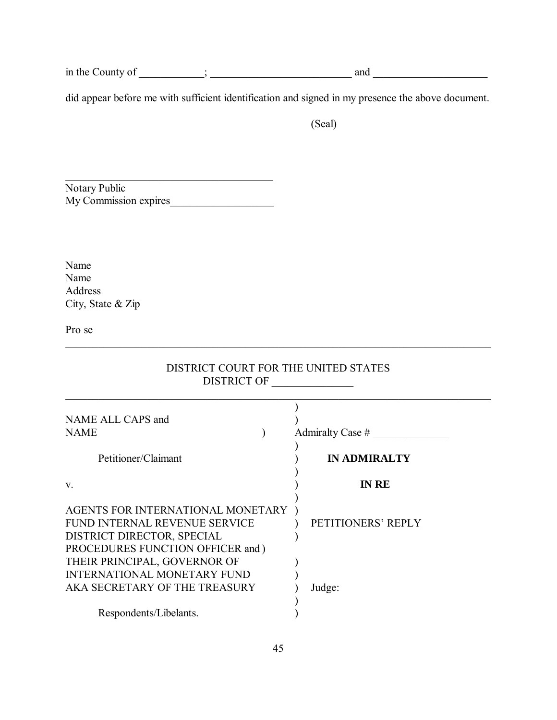in the County of \_\_\_\_\_\_\_\_\_\_\_\_; \_\_\_\_\_\_\_\_\_\_\_\_\_\_\_\_\_\_\_\_\_\_\_\_\_\_ and \_\_\_\_\_\_\_\_\_\_\_\_\_\_\_\_\_\_\_\_\_

did appear before me with sufficient identification and signed in my presence the above document.

(Seal)

\_\_\_\_\_\_\_\_\_\_\_\_\_\_\_\_\_\_\_\_\_\_\_\_\_\_\_\_\_\_\_\_\_\_\_\_\_\_ Notary Public My Commission expires\_\_\_\_\_\_\_\_\_\_\_\_\_\_\_\_\_\_\_

Name Name Address City, State & Zip

Pro se

| DISTRICT COURT FOR THE UNITED STATES<br><b>DISTRICT OF</b>                                                                            |                     |  |
|---------------------------------------------------------------------------------------------------------------------------------------|---------------------|--|
| NAME ALL CAPS and<br><b>NAME</b>                                                                                                      | Admiralty Case $#$  |  |
| Petitioner/Claimant                                                                                                                   | <b>IN ADMIRALTY</b> |  |
| V.                                                                                                                                    | <b>IN RE</b>        |  |
| AGENTS FOR INTERNATIONAL MONETARY<br>FUND INTERNAL REVENUE SERVICE<br>DISTRICT DIRECTOR, SPECIAL<br>PROCEDURES FUNCTION OFFICER and ) | PETITIONERS' REPLY  |  |
| THEIR PRINCIPAL, GOVERNOR OF<br><b>INTERNATIONAL MONETARY FUND</b><br>AKA SECRETARY OF THE TREASURY                                   | Judge:              |  |
| Respondents/Libelants.                                                                                                                |                     |  |

\_\_\_\_\_\_\_\_\_\_\_\_\_\_\_\_\_\_\_\_\_\_\_\_\_\_\_\_\_\_\_\_\_\_\_\_\_\_\_\_\_\_\_\_\_\_\_\_\_\_\_\_\_\_\_\_\_\_\_\_\_\_\_\_\_\_\_\_\_\_\_\_\_\_\_\_\_\_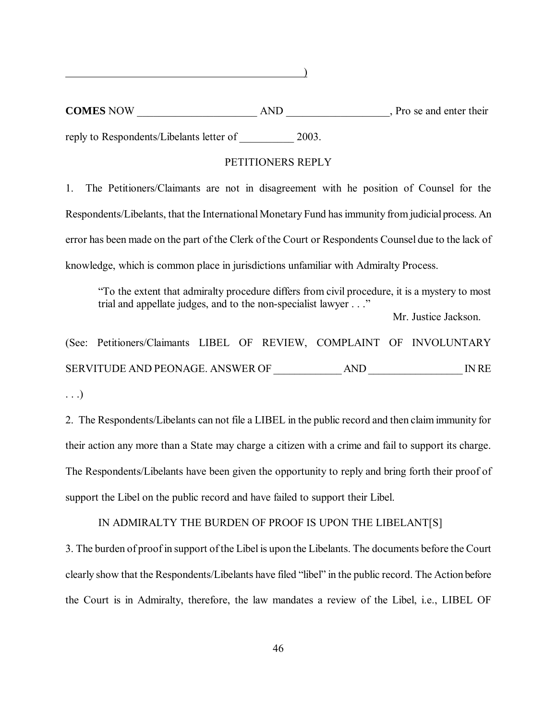**COMES** NOW AND NOW AND Pro se and enter their

 $\qquad \qquad \qquad$ 

reply to Respondents/Libelants letter of  $2003$ .

## PETITIONERS REPLY

1. The Petitioners/Claimants are not in disagreement with he position of Counsel for the Respondents/Libelants, that the International Monetary Fund has immunity from judicial process. An error has been made on the part of the Clerk of the Court or Respondents Counsel due to the lack of knowledge, which is common place in jurisdictions unfamiliar with Admiralty Process.

"To the extent that admiralty procedure differs from civil procedure, it is a mystery to most trial and appellate judges, and to the non-specialist lawyer . . ."

Mr. Justice Jackson.

(See: Petitioners/Claimants LIBEL OF REVIEW, COMPLAINT OF INVOLUNTARY SERVITUDE AND PEONAGE. ANSWER OF \_\_\_\_\_\_\_\_\_\_\_\_\_ AND \_\_\_\_\_\_\_\_\_\_\_\_\_\_\_\_\_\_ IN RE

2. The Respondents/Libelants can not file a LIBEL in the public record and then claim immunity for their action any more than a State may charge a citizen with a crime and fail to support its charge. The Respondents/Libelants have been given the opportunity to reply and bring forth their proof of support the Libel on the public record and have failed to support their Libel.

IN ADMIRALTY THE BURDEN OF PROOF IS UPON THE LIBELANT[S]

3. The burden of proof in support of the Libel is upon the Libelants. The documents before the Court clearly show that the Respondents/Libelants have filed "libel" in the public record. The Action before the Court is in Admiralty, therefore, the law mandates a review of the Libel, i.e., LIBEL OF

<sup>. . .)</sup>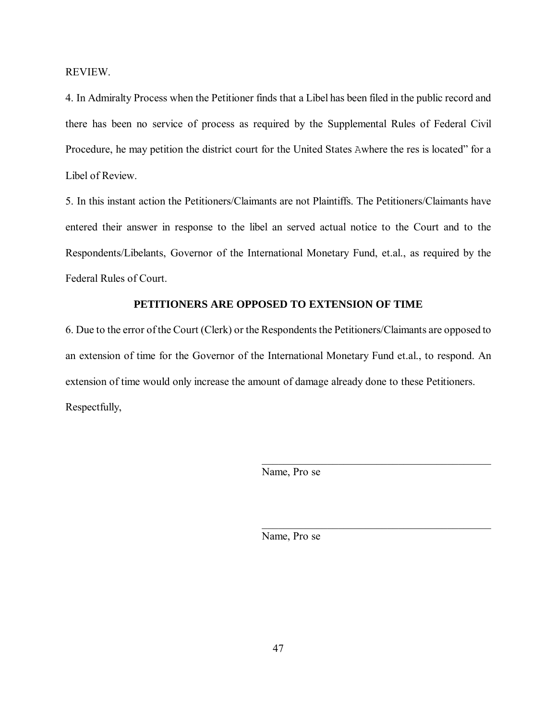REVIEW.

4. In Admiralty Process when the Petitioner finds that a Libel has been filed in the public record and there has been no service of process as required by the Supplemental Rules of Federal Civil Procedure, he may petition the district court for the United States Awhere the res is located" for a Libel of Review.

5. In this instant action the Petitioners/Claimants are not Plaintiffs. The Petitioners/Claimants have entered their answer in response to the libel an served actual notice to the Court and to the Respondents/Libelants, Governor of the International Monetary Fund, et.al., as required by the Federal Rules of Court.

# **PETITIONERS ARE OPPOSED TO EXTENSION OF TIME**

6. Due to the error of the Court (Clerk) or the Respondents the Petitioners/Claimants are opposed to an extension of time for the Governor of the International Monetary Fund et.al., to respond. An extension of time would only increase the amount of damage already done to these Petitioners. Respectfully,

Name, Pro se

 $\mathcal{L}_\mathcal{L}$  , which is a set of the set of the set of the set of the set of the set of the set of the set of the set of the set of the set of the set of the set of the set of the set of the set of the set of the set of

 $\mathcal{L}_\mathcal{L}$  , which is a set of the set of the set of the set of the set of the set of the set of the set of the set of the set of the set of the set of the set of the set of the set of the set of the set of the set of

Name, Pro se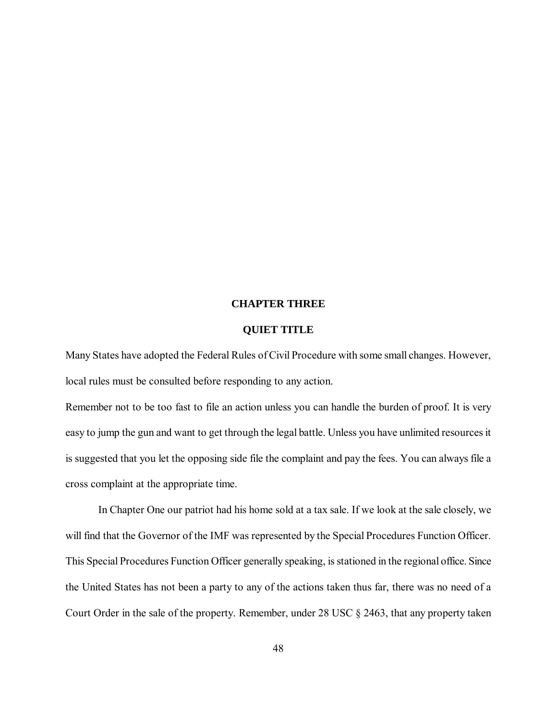#### **CHAPTER THREE**

## **QUIET TITLE**

Many States have adopted the Federal Rules of Civil Procedure with some small changes. However, local rules must be consulted before responding to any action.

Remember not to be too fast to file an action unless you can handle the burden of proof. It is very easy to jump the gun and want to get through the legal battle. Unless you have unlimited resources it is suggested that you let the opposing side file the complaint and pay the fees. You can always file a cross complaint at the appropriate time.

In Chapter One our patriot had his home sold at a tax sale. If we look at the sale closely, we will find that the Governor of the IMF was represented by the Special Procedures Function Officer. This Special Procedures Function Officer generally speaking, is stationed in the regional office. Since the United States has not been a party to any of the actions taken thus far, there was no need of a Court Order in the sale of the property. Remember, under 28 USC § 2463, that any property taken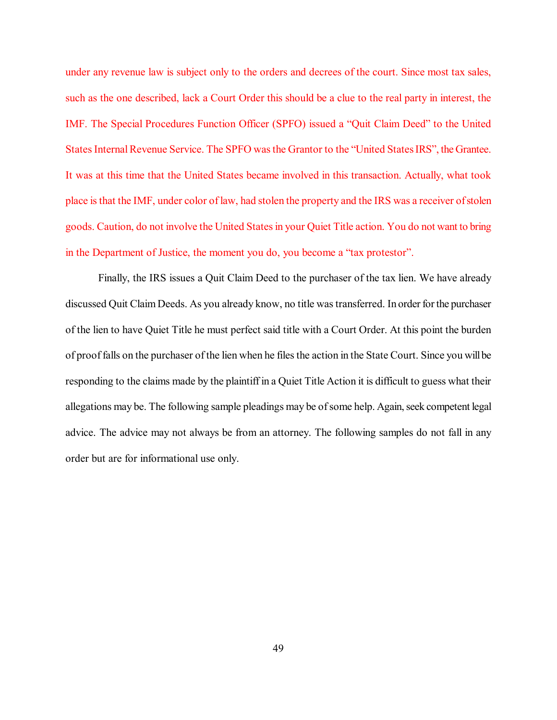under any revenue law is subject only to the orders and decrees of the court. Since most tax sales, such as the one described, lack a Court Order this should be a clue to the real party in interest, the IMF. The Special Procedures Function Officer (SPFO) issued a "Quit Claim Deed" to the United States Internal Revenue Service. The SPFO was the Grantor to the "United States IRS", the Grantee. It was at this time that the United States became involved in this transaction. Actually, what took place is that the IMF, under color of law, had stolen the property and the IRS was a receiver of stolen goods. Caution, do not involve the United States in your Quiet Title action. You do not want to bring in the Department of Justice, the moment you do, you become a "tax protestor".

Finally, the IRS issues a Quit Claim Deed to the purchaser of the tax lien. We have already discussed Quit Claim Deeds. As you already know, no title was transferred. In order for the purchaser of the lien to have Quiet Title he must perfect said title with a Court Order. At this point the burden of proof falls on the purchaser of the lien when he files the action in the State Court. Since you will be responding to the claims made by the plaintiff in a Quiet Title Action it is difficult to guess what their allegations may be. The following sample pleadings may be of some help. Again, seek competent legal advice. The advice may not always be from an attorney. The following samples do not fall in any order but are for informational use only.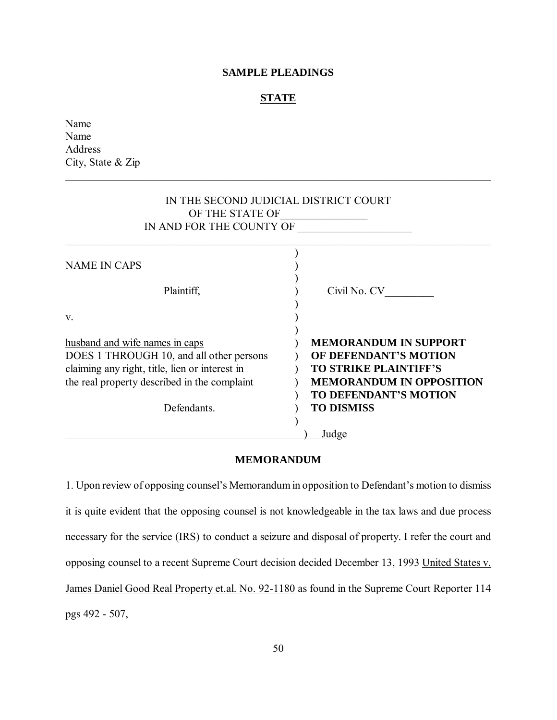# **SAMPLE PLEADINGS**

#### **STATE**

\_\_\_\_\_\_\_\_\_\_\_\_\_\_\_\_\_\_\_\_\_\_\_\_\_\_\_\_\_\_\_\_\_\_\_\_\_\_\_\_\_\_\_\_\_\_\_\_\_\_\_\_\_\_\_\_\_\_\_\_\_\_\_\_\_\_\_\_\_\_\_\_\_\_\_\_\_\_

Name Name Address City, State & Zip

| IN THE SECOND JUDICIAL DISTRICT COURT<br>OF THE STATE OF<br>IN AND FOR THE COUNTY OF |                                 |  |
|--------------------------------------------------------------------------------------|---------------------------------|--|
| <b>NAME IN CAPS</b>                                                                  |                                 |  |
| Plaintiff,                                                                           | Civil No. CV                    |  |
| $V_{-}$                                                                              |                                 |  |
| husband and wife names in caps                                                       | <b>MEMORANDUM IN SUPPORT</b>    |  |
| DOES 1 THROUGH 10, and all other persons                                             | OF DEFENDANT'S MOTION           |  |
| claiming any right, title, lien or interest in                                       | <b>TO STRIKE PLAINTIFF'S</b>    |  |
| the real property described in the complaint                                         | <b>MEMORANDUM IN OPPOSITION</b> |  |
|                                                                                      | <b>TO DEFENDANT'S MOTION</b>    |  |
| Defendants.                                                                          | <b>TO DISMISS</b>               |  |
|                                                                                      | Judge                           |  |
|                                                                                      |                                 |  |

#### **MEMORANDUM**

1. Upon review of opposing counsel's Memorandum in opposition to Defendant's motion to dismiss it is quite evident that the opposing counsel is not knowledgeable in the tax laws and due process necessary for the service (IRS) to conduct a seizure and disposal of property. I refer the court and opposing counsel to a recent Supreme Court decision decided December 13, 1993 United States v. James Daniel Good Real Property et.al. No. 92-1180 as found in the Supreme Court Reporter 114 pgs 492 - 507,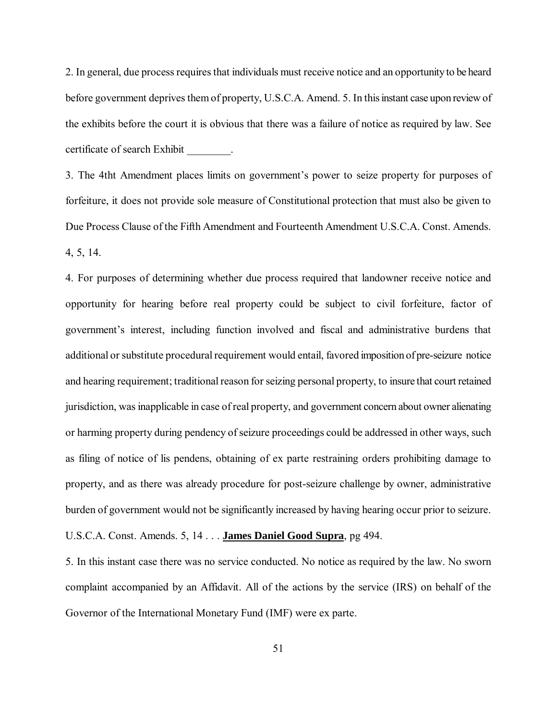2. In general, due process requires that individuals must receive notice and an opportunity to be heard before government deprives them of property, U.S.C.A. Amend. 5. In this instant case upon review of the exhibits before the court it is obvious that there was a failure of notice as required by law. See certificate of search Exhibit \_\_\_\_\_\_\_\_.

3. The 4tht Amendment places limits on government's power to seize property for purposes of forfeiture, it does not provide sole measure of Constitutional protection that must also be given to Due Process Clause of the Fifth Amendment and Fourteenth Amendment U.S.C.A. Const. Amends. 4, 5, 14.

4. For purposes of determining whether due process required that landowner receive notice and opportunity for hearing before real property could be subject to civil forfeiture, factor of government's interest, including function involved and fiscal and administrative burdens that additional or substitute procedural requirement would entail, favored imposition of pre-seizure notice and hearing requirement; traditional reason for seizing personal property, to insure that court retained jurisdiction, was inapplicable in case of real property, and government concern about owner alienating or harming property during pendency of seizure proceedings could be addressed in other ways, such as filing of notice of lis pendens, obtaining of ex parte restraining orders prohibiting damage to property, and as there was already procedure for post-seizure challenge by owner, administrative burden of government would not be significantly increased by having hearing occur prior to seizure. U.S.C.A. Const. Amends. 5, 14 . . . **James Daniel Good Supra**, pg 494.

5. In this instant case there was no service conducted. No notice as required by the law. No sworn complaint accompanied by an Affidavit. All of the actions by the service (IRS) on behalf of the Governor of the International Monetary Fund (IMF) were ex parte.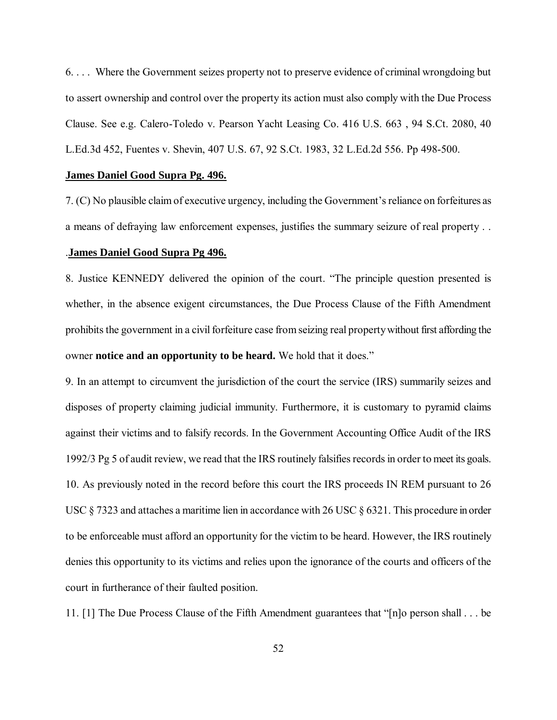6. . . . Where the Government seizes property not to preserve evidence of criminal wrongdoing but to assert ownership and control over the property its action must also comply with the Due Process Clause. See e.g. Calero-Toledo v. Pearson Yacht Leasing Co. 416 U.S. 663 , 94 S.Ct. 2080, 40 L.Ed.3d 452, Fuentes v. Shevin, 407 U.S. 67, 92 S.Ct. 1983, 32 L.Ed.2d 556. Pp 498-500.

#### **James Daniel Good Supra Pg. 496.**

7. (C) No plausible claim of executive urgency, including the Government's reliance on forfeitures as a means of defraying law enforcement expenses, justifies the summary seizure of real property . .

#### .**James Daniel Good Supra Pg 496.**

8. Justice KENNEDY delivered the opinion of the court. "The principle question presented is whether, in the absence exigent circumstances, the Due Process Clause of the Fifth Amendment prohibits the government in a civil forfeiture case from seizing real property without first affording the owner **notice and an opportunity to be heard.** We hold that it does."

9. In an attempt to circumvent the jurisdiction of the court the service (IRS) summarily seizes and disposes of property claiming judicial immunity. Furthermore, it is customary to pyramid claims against their victims and to falsify records. In the Government Accounting Office Audit of the IRS 1992/3 Pg 5 of audit review, we read that the IRS routinely falsifies records in order to meet its goals. 10. As previously noted in the record before this court the IRS proceeds IN REM pursuant to 26 USC § 7323 and attaches a maritime lien in accordance with 26 USC § 6321. This procedure in order to be enforceable must afford an opportunity for the victim to be heard. However, the IRS routinely denies this opportunity to its victims and relies upon the ignorance of the courts and officers of the court in furtherance of their faulted position.

11. [1] The Due Process Clause of the Fifth Amendment guarantees that "[n]o person shall . . . be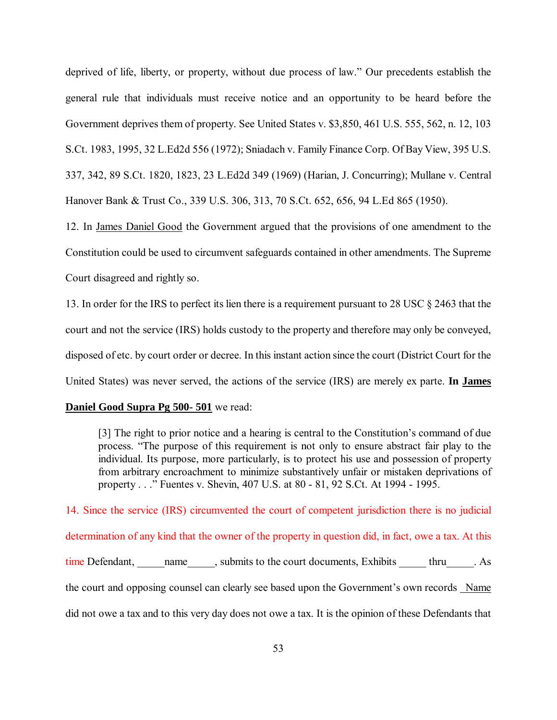deprived of life, liberty, or property, without due process of law." Our precedents establish the general rule that individuals must receive notice and an opportunity to be heard before the Government deprives them of property. See United States v. \$3,850, 461 U.S. 555, 562, n. 12, 103 S.Ct. 1983, 1995, 32 L.Ed2d 556 (1972); Sniadach v. Family Finance Corp. Of Bay View, 395 U.S. 337, 342, 89 S.Ct. 1820, 1823, 23 L.Ed2d 349 (1969) (Harian, J. Concurring); Mullane v. Central Hanover Bank & Trust Co., 339 U.S. 306, 313, 70 S.Ct. 652, 656, 94 L.Ed 865 (1950).

12. In James Daniel Good the Government argued that the provisions of one amendment to the Constitution could be used to circumvent safeguards contained in other amendments. The Supreme Court disagreed and rightly so.

13. In order for the IRS to perfect its lien there is a requirement pursuant to 28 USC § 2463 that the court and not the service (IRS) holds custody to the property and therefore may only be conveyed, disposed of etc. by court order or decree. In this instant action since the court (District Court for the United States) was never served, the actions of the service (IRS) are merely ex parte. **In James** 

#### **Daniel Good Supra Pg 500- 501** we read:

[3] The right to prior notice and a hearing is central to the Constitution's command of due process. "The purpose of this requirement is not only to ensure abstract fair play to the individual. Its purpose, more particularly, is to protect his use and possession of property from arbitrary encroachment to minimize substantively unfair or mistaken deprivations of property . . ." Fuentes v. Shevin, 407 U.S. at 80 - 81, 92 S.Ct. At 1994 - 1995.

14. Since the service (IRS) circumvented the court of competent jurisdiction there is no judicial determination of any kind that the owner of the property in question did, in fact, owe a tax. At this time Defendant, and mame the court documents, Exhibits thru As the court and opposing counsel can clearly see based upon the Government's own records Name did not owe a tax and to this very day does not owe a tax. It is the opinion of these Defendants that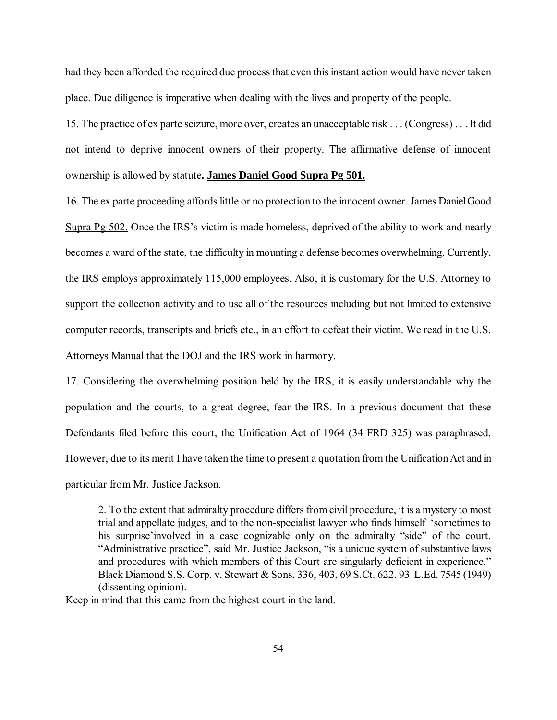had they been afforded the required due process that even this instant action would have never taken place. Due diligence is imperative when dealing with the lives and property of the people.

15. The practice of ex parte seizure, more over, creates an unacceptable risk . . . (Congress) . . . It did not intend to deprive innocent owners of their property. The affirmative defense of innocent ownership is allowed by statute**. James Daniel Good Supra Pg 501.**

16. The ex parte proceeding affords little or no protection to the innocent owner. James Daniel Good Supra Pg 502. Once the IRS's victim is made homeless, deprived of the ability to work and nearly becomes a ward of the state, the difficulty in mounting a defense becomes overwhelming. Currently, the IRS employs approximately 115,000 employees. Also, it is customary for the U.S. Attorney to support the collection activity and to use all of the resources including but not limited to extensive computer records, transcripts and briefs etc., in an effort to defeat their victim. We read in the U.S. Attorneys Manual that the DOJ and the IRS work in harmony.

17. Considering the overwhelming position held by the IRS, it is easily understandable why the population and the courts, to a great degree, fear the IRS. In a previous document that these Defendants filed before this court, the Unification Act of 1964 (34 FRD 325) was paraphrased. However, due to its merit I have taken the time to present a quotation from the Unification Act and in particular from Mr. Justice Jackson.

2. To the extent that admiralty procedure differs from civil procedure, it is a mystery to most trial and appellate judges, and to the non-specialist lawyer who finds himself 'sometimes to his surprise'involved in a case cognizable only on the admiralty "side" of the court. "Administrative practice", said Mr. Justice Jackson, "is a unique system of substantive laws and procedures with which members of this Court are singularly deficient in experience." Black Diamond S.S. Corp. v. Stewart & Sons, 336, 403, 69 S.Ct. 622. 93 L.Ed. 7545 (1949) (dissenting opinion).

Keep in mind that this came from the highest court in the land.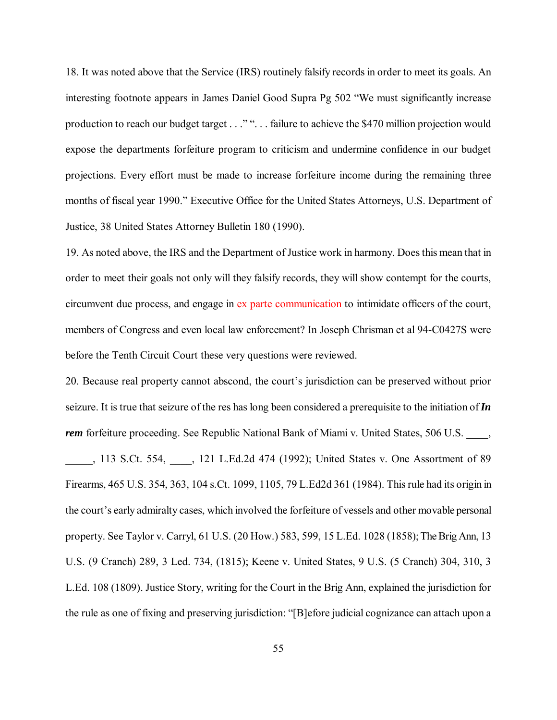18. It was noted above that the Service (IRS) routinely falsify records in order to meet its goals. An interesting footnote appears in James Daniel Good Supra Pg 502 "We must significantly increase production to reach our budget target . . ."". . . failure to achieve the \$470 million projection would expose the departments forfeiture program to criticism and undermine confidence in our budget projections. Every effort must be made to increase forfeiture income during the remaining three months of fiscal year 1990." Executive Office for the United States Attorneys, U.S. Department of Justice, 38 United States Attorney Bulletin 180 (1990).

19. As noted above, the IRS and the Department of Justice work in harmony. Does this mean that in order to meet their goals not only will they falsify records, they will show contempt for the courts, circumvent due process, and engage in ex parte communication to intimidate officers of the court, members of Congress and even local law enforcement? In Joseph Chrisman et al 94-C0427S were before the Tenth Circuit Court these very questions were reviewed.

20. Because real property cannot abscond, the court's jurisdiction can be preserved without prior seizure. It is true that seizure of the res has long been considered a prerequisite to the initiation of*In rem* forfeiture proceeding. See Republic National Bank of Miami v. United States, 506 U.S.

\_\_\_\_\_, 113 S.Ct. 554, \_\_\_\_, 121 L.Ed.2d 474 (1992); United States v. One Assortment of 89 Firearms, 465 U.S. 354, 363, 104 s.Ct. 1099, 1105, 79 L.Ed2d 361 (1984). This rule had its origin in the court's early admiralty cases, which involved the forfeiture of vessels and other movable personal property. See Taylor v. Carryl, 61 U.S. (20 How.) 583, 599, 15 L.Ed. 1028 (1858); The Brig Ann, 13 U.S. (9 Cranch) 289, 3 Led. 734, (1815); Keene v. United States, 9 U.S. (5 Cranch) 304, 310, 3 L.Ed. 108 (1809). Justice Story, writing for the Court in the Brig Ann, explained the jurisdiction for the rule as one of fixing and preserving jurisdiction: "[B]efore judicial cognizance can attach upon a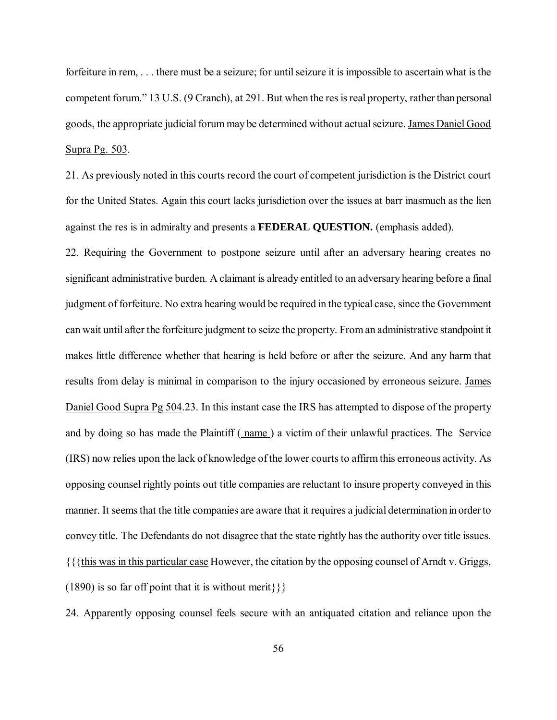forfeiture in rem, . . . there must be a seizure; for until seizure it is impossible to ascertain what is the competent forum." 13 U.S. (9 Cranch), at 291. But when the res is real property, rather than personal goods, the appropriate judicial forum may be determined without actual seizure. James Daniel Good Supra Pg. 503.

21. As previously noted in this courts record the court of competent jurisdiction is the District court for the United States. Again this court lacks jurisdiction over the issues at barr inasmuch as the lien against the res is in admiralty and presents a **FEDERAL QUESTION.** (emphasis added).

22. Requiring the Government to postpone seizure until after an adversary hearing creates no significant administrative burden. A claimant is already entitled to an adversary hearing before a final judgment of forfeiture. No extra hearing would be required in the typical case, since the Government can wait until after the forfeiture judgment to seize the property. From an administrative standpoint it makes little difference whether that hearing is held before or after the seizure. And any harm that results from delay is minimal in comparison to the injury occasioned by erroneous seizure. James Daniel Good Supra Pg 504.23. In this instant case the IRS has attempted to dispose of the property and by doing so has made the Plaintiff ( name ) a victim of their unlawful practices. The Service (IRS) now relies upon the lack of knowledge of the lower courts to affirm this erroneous activity. As opposing counsel rightly points out title companies are reluctant to insure property conveyed in this manner. It seems that the title companies are aware that it requires a judicial determination in order to convey title. The Defendants do not disagree that the state rightly has the authority over title issues. {{{this was in this particular case However, the citation by the opposing counsel of Arndt v. Griggs, (1890) is so far off point that it is without merit $\{\}$ 

24. Apparently opposing counsel feels secure with an antiquated citation and reliance upon the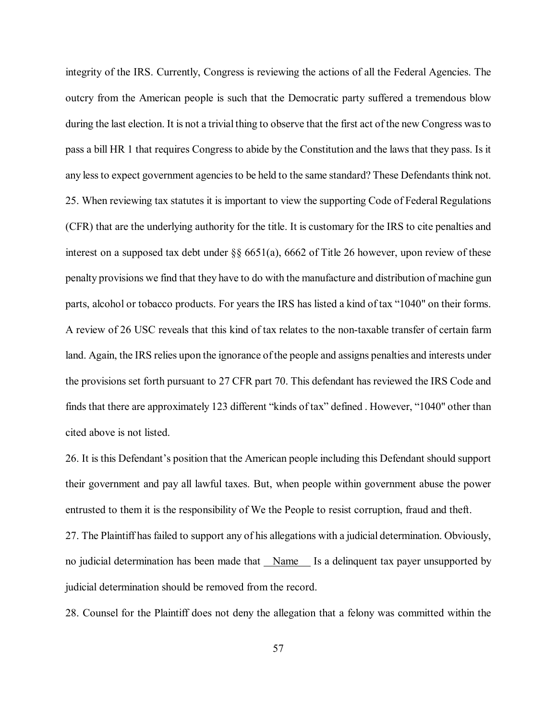integrity of the IRS. Currently, Congress is reviewing the actions of all the Federal Agencies. The outcry from the American people is such that the Democratic party suffered a tremendous blow during the last election. It is not a trivial thing to observe that the first act of the new Congress was to pass a bill HR 1 that requires Congress to abide by the Constitution and the laws that they pass. Is it any less to expect government agencies to be held to the same standard? These Defendants think not. 25. When reviewing tax statutes it is important to view the supporting Code of Federal Regulations (CFR) that are the underlying authority for the title. It is customary for the IRS to cite penalties and interest on a supposed tax debt under  $\S$  6651(a), 6662 of Title 26 however, upon review of these penalty provisions we find that they have to do with the manufacture and distribution of machine gun parts, alcohol or tobacco products. For years the IRS has listed a kind of tax "1040" on their forms. A review of 26 USC reveals that this kind of tax relates to the non-taxable transfer of certain farm land. Again, the IRS relies upon the ignorance of the people and assigns penalties and interests under the provisions set forth pursuant to 27 CFR part 70. This defendant has reviewed the IRS Code and finds that there are approximately 123 different "kinds of tax" defined . However, "1040" other than cited above is not listed.

26. It is this Defendant's position that the American people including this Defendant should support their government and pay all lawful taxes. But, when people within government abuse the power entrusted to them it is the responsibility of We the People to resist corruption, fraud and theft.

27. The Plaintiff has failed to support any of his allegations with a judicial determination. Obviously, no judicial determination has been made that Name Is a delinquent tax payer unsupported by judicial determination should be removed from the record.

28. Counsel for the Plaintiff does not deny the allegation that a felony was committed within the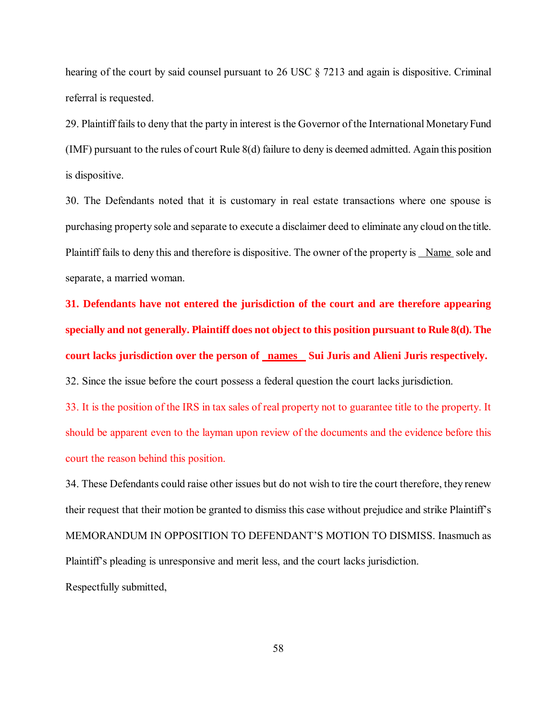hearing of the court by said counsel pursuant to 26 USC § 7213 and again is dispositive. Criminal referral is requested.

29. Plaintiff fails to deny that the party in interest is the Governor of the International Monetary Fund (IMF) pursuant to the rules of court Rule 8(d) failure to deny is deemed admitted. Again this position is dispositive.

30. The Defendants noted that it is customary in real estate transactions where one spouse is purchasing property sole and separate to execute a disclaimer deed to eliminate any cloud on the title. Plaintiff fails to deny this and therefore is dispositive. The owner of the property is Name sole and separate, a married woman.

**31. Defendants have not entered the jurisdiction of the court and are therefore appearing specially and not generally. Plaintiff does not object to this position pursuant to Rule 8(d). The court lacks jurisdiction over the person of names Sui Juris and Alieni Juris respectively.** 32. Since the issue before the court possess a federal question the court lacks jurisdiction.

33. It is the position of the IRS in tax sales of real property not to guarantee title to the property. It should be apparent even to the layman upon review of the documents and the evidence before this court the reason behind this position.

34. These Defendants could raise other issues but do not wish to tire the court therefore, they renew their request that their motion be granted to dismiss this case without prejudice and strike Plaintiff's MEMORANDUM IN OPPOSITION TO DEFENDANT'S MOTION TO DISMISS. Inasmuch as Plaintiff's pleading is unresponsive and merit less, and the court lacks jurisdiction. Respectfully submitted,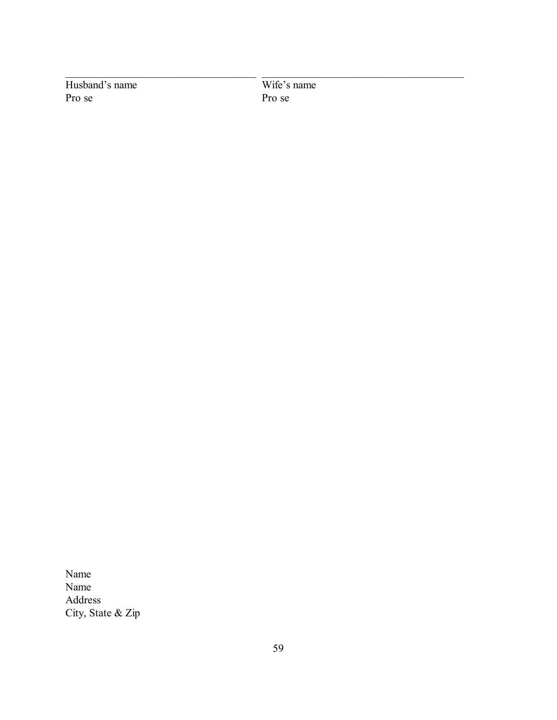Husband's name<br>
Pro se<br>
Pro se<br>
Pro se

Pro se

\_\_\_\_\_\_\_\_\_\_\_\_\_\_\_\_\_\_\_\_\_\_\_\_\_\_\_\_\_\_\_\_\_\_\_ \_\_\_\_\_\_\_\_\_\_\_\_\_\_\_\_\_\_\_\_\_\_\_\_\_\_\_\_\_\_\_\_\_\_\_\_\_

Name Name Address City, State & Zip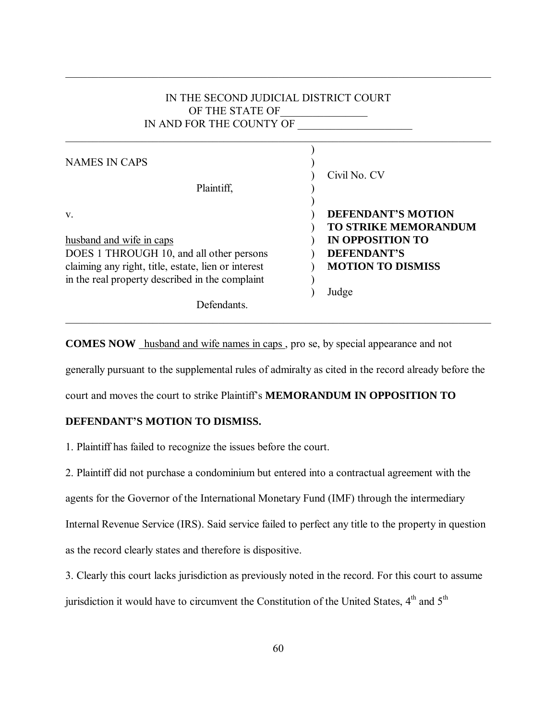# IN THE SECOND JUDICIAL DISTRICT COURT OF THE STATE OF IN AND FOR THE COUNTY OF

\_\_\_\_\_\_\_\_\_\_\_\_\_\_\_\_\_\_\_\_\_\_\_\_\_\_\_\_\_\_\_\_\_\_\_\_\_\_\_\_\_\_\_\_\_\_\_\_\_\_\_\_\_\_\_\_\_\_\_\_\_\_\_\_\_\_\_\_\_\_\_\_\_\_\_\_\_\_

\_\_\_\_\_\_\_\_\_\_\_\_\_\_\_\_\_\_\_\_\_\_\_\_\_\_\_\_\_\_\_\_\_\_\_\_\_\_\_\_\_\_\_\_\_\_\_\_\_\_\_\_\_\_\_\_\_\_\_\_\_\_\_\_\_\_\_\_\_\_\_\_\_\_\_\_\_\_

| <b>NAMES IN CAPS</b><br>Plaintiff,                  | Civil No. CV                                             |
|-----------------------------------------------------|----------------------------------------------------------|
| V.                                                  | <b>DEFENDANT'S MOTION</b><br><b>TO STRIKE MEMORANDUM</b> |
| husband and wife in caps                            | <b>IN OPPOSITION TO</b>                                  |
| DOES 1 THROUGH 10, and all other persons            | <b>DEFENDANT'S</b>                                       |
| claiming any right, title, estate, lien or interest | <b>MOTION TO DISMISS</b>                                 |
| in the real property described in the complaint     |                                                          |
|                                                     | Judge                                                    |
| Defendants                                          |                                                          |

**COMES NOW** husband and wife names in caps , pro se, by special appearance and not

generally pursuant to the supplemental rules of admiralty as cited in the record already before the

\_\_\_\_\_\_\_\_\_\_\_\_\_\_\_\_\_\_\_\_\_\_\_\_\_\_\_\_\_\_\_\_\_\_\_\_\_\_\_\_\_\_\_\_\_\_\_\_\_\_\_\_\_\_\_\_\_\_\_\_\_\_\_\_\_\_\_\_\_\_\_\_\_\_\_\_\_\_

court and moves the court to strike Plaintiff's **MEMORANDUM IN OPPOSITION TO** 

# **DEFENDANT'S MOTION TO DISMISS.**

1. Plaintiff has failed to recognize the issues before the court.

2. Plaintiff did not purchase a condominium but entered into a contractual agreement with the agents for the Governor of the International Monetary Fund (IMF) through the intermediary Internal Revenue Service (IRS). Said service failed to perfect any title to the property in question as the record clearly states and therefore is dispositive.

3. Clearly this court lacks jurisdiction as previously noted in the record. For this court to assume jurisdiction it would have to circumvent the Constitution of the United States,  $4<sup>th</sup>$  and  $5<sup>th</sup>$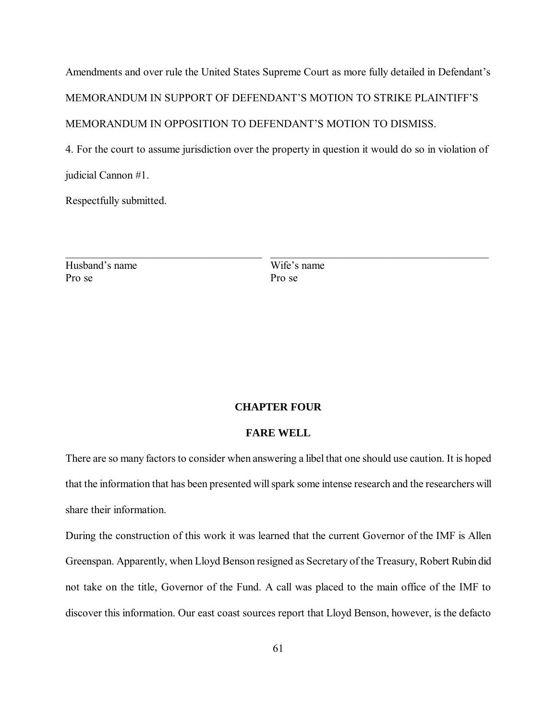Amendments and over rule the United States Supreme Court as more fully detailed in Defendant's MEMORANDUM IN SUPPORT OF DEFENDANT'S MOTION TO STRIKE PLAINTIFF'S MEMORANDUM IN OPPOSITION TO DEFENDANT'S MOTION TO DISMISS.

4. For the court to assume jurisdiction over the property in question it would do so in violation of judicial Cannon #1.

\_\_\_\_\_\_\_\_\_\_\_\_\_\_\_\_\_\_\_\_\_\_\_\_\_\_\_\_\_\_\_\_\_\_\_\_ \_\_\_\_\_\_\_\_\_\_\_\_\_\_\_\_\_\_\_\_\_\_\_\_\_\_\_\_\_\_\_\_\_\_\_\_\_\_\_\_

Respectfully submitted.

Husband's name Wife's name Pro se Pro se

# **CHAPTER FOUR**

#### **FARE WELL**

There are so many factors to consider when answering a libel that one should use caution. It is hoped that the information that has been presented will spark some intense research and the researchers will share their information.

During the construction of this work it was learned that the current Governor of the IMF is Allen Greenspan. Apparently, when Lloyd Benson resigned as Secretary of the Treasury, Robert Rubin did not take on the title, Governor of the Fund. A call was placed to the main office of the IMF to discover this information. Our east coast sources report that Lloyd Benson, however, is the defacto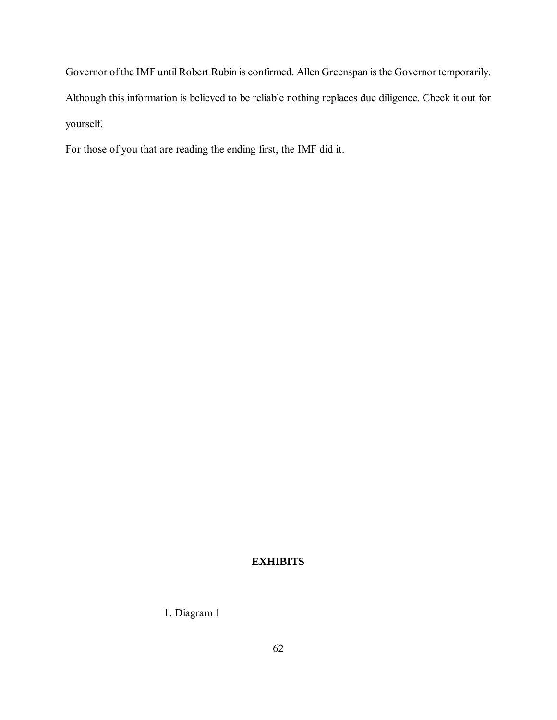Governor of the IMF until Robert Rubin is confirmed. Allen Greenspan is the Governor temporarily. Although this information is believed to be reliable nothing replaces due diligence. Check it out for yourself.

For those of you that are reading the ending first, the IMF did it.

# **EXHIBITS**

1. Diagram 1